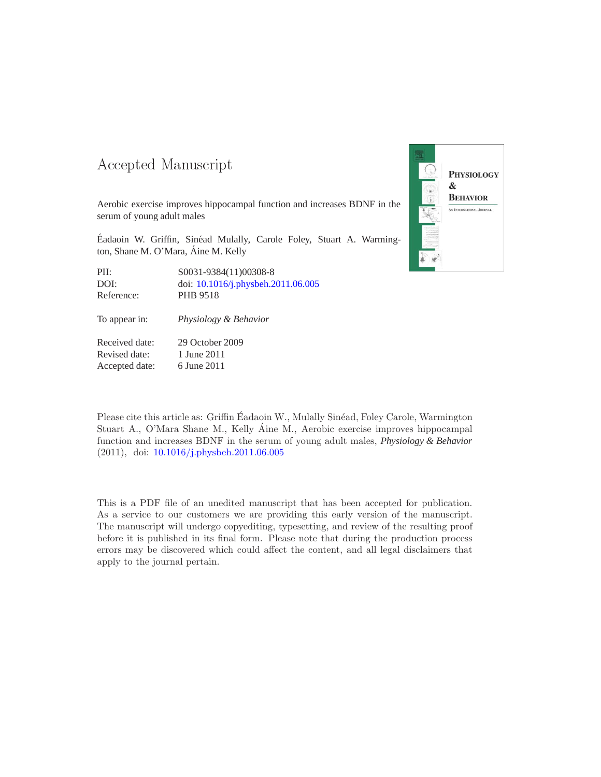## -- -

Aerobic exercise improves hippocampal function and increases BDNF in the serum of young adult males

Éadaoin W. Griffin, Sinéad Mulally, Carole Foley, Stuart A. Warmington, Shane M. O'Mara, Aine M. Kelly

| PII:       | S0031-9384(11)00308-8              |
|------------|------------------------------------|
| DOI:       | doi: 10.1016/j.physbeh.2011.06.005 |
| Reference: | PHB 9518                           |

To appear in: *Physiology & Behavior*

Received date: 29 October 2009 Revised date: 1 June 2011 Accepted date: 6 June 2011



Please cite this article as: Griffin Éadaoin W., Mulally Sinéad, Foley Carole, Warmington Stuart A., O'Mara Shane M., Kelly Aine M., Aerobic exercise improves hippocampal function and increases BDNF in the serum of young adult males, *Physiology & Behavior* (2011), doi: [10.1016/j.physbeh.2011.06.005](http://dx.doi.org/10.1016/j.physbeh.2011.06.005)

This is a PDF file of an unedited manuscript that has been accepted for publication. As a service to our customers we are providing this early version of the manuscript. The manuscript will undergo copyediting, typesetting, and review of the resulting proof before it is published in its final form. Please note that during the production process errors may be discovered which could affect the content, and all legal disclaimers that apply to the journal pertain.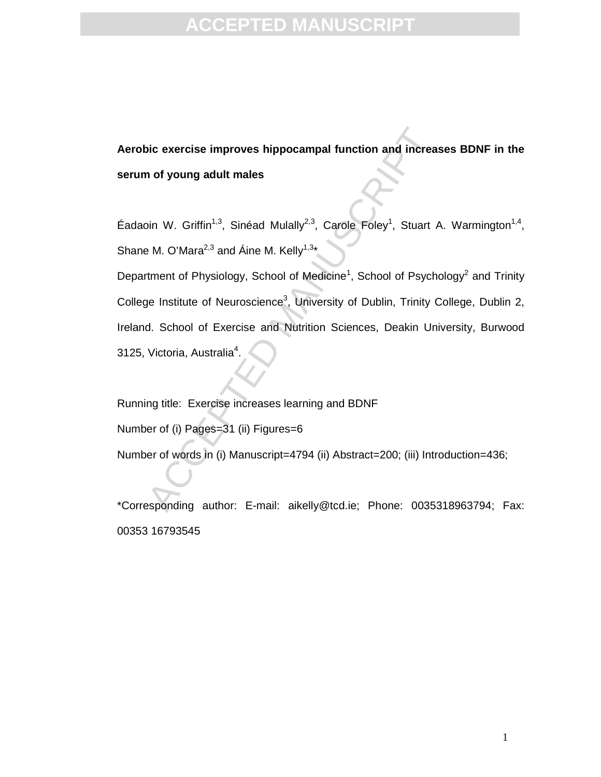# **EPTED MAI**

**Aerobic exercise improves hippocampal function and increases BDNF in the serum of young adult males** 

Éadaoin W. Griffin<sup>1,3</sup>, Sinéad Mulally<sup>2,3</sup>, Carole Foley<sup>1</sup>, Stuart A. Warmington<sup>1,4</sup>, Shane M. O'Mara<sup>2,3</sup> and Áine M. Kelly<sup>1,3\*</sup>

bic exercise improves hippocampal function and increase of young adult males<br>
in W. Griffin<sup>1,3</sup>, Sinéad Mulally<sup>2,3</sup>, Carole Foley<sup>1</sup>, Stuart 4<br>
H. O'Mara<sup>2,3</sup> and Áine M. Kelly<sup>1,3</sup>\*<br>
iment of Physiology, School of Medic Department of Physiology, School of Medicine<sup>1</sup>, School of Psychology<sup>2</sup> and Trinity College Institute of Neuroscience<sup>3</sup>, University of Dublin, Trinity College, Dublin 2, Ireland. School of Exercise and Nutrition Sciences, Deakin University, Burwood 3125, Victoria, Australia<sup>4</sup>.

Running title: Exercise increases learning and BDNF

Number of (i) Pages=31 (ii) Figures=6

Number of words in (i) Manuscript=4794 (ii) Abstract=200; (iii) Introduction=436;

\*Corresponding author: E-mail: aikelly@tcd.ie; Phone: 0035318963794; Fax: 00353 16793545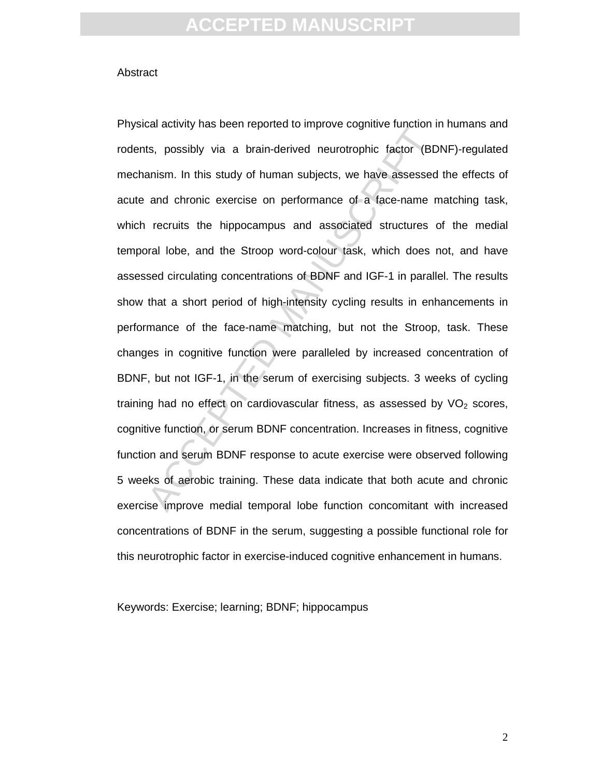#### **Abstract**

Example of the start of the start of the start of the start of the start of the start of the start of the start of the start of the start of the start of the start of the start of the start of the start of the start of the Physical activity has been reported to improve cognitive function in humans and rodents, possibly via a brain-derived neurotrophic factor (BDNF)-regulated mechanism. In this study of human subjects, we have assessed the effects of acute and chronic exercise on performance of a face-name matching task, which recruits the hippocampus and associated structures of the medial temporal lobe, and the Stroop word-colour task, which does not, and have assessed circulating concentrations of BDNF and IGF-1 in parallel. The results show that a short period of high-intensity cycling results in enhancements in performance of the face-name matching, but not the Stroop, task. These changes in cognitive function were paralleled by increased concentration of BDNF, but not IGF-1, in the serum of exercising subjects. 3 weeks of cycling training had no effect on cardiovascular fitness, as assessed by  $VO<sub>2</sub>$  scores, cognitive function, or serum BDNF concentration. Increases in fitness, cognitive function and serum BDNF response to acute exercise were observed following 5 weeks of aerobic training. These data indicate that both acute and chronic exercise improve medial temporal lobe function concomitant with increased concentrations of BDNF in the serum, suggesting a possible functional role for this neurotrophic factor in exercise-induced cognitive enhancement in humans.

Keywords: Exercise; learning; BDNF; hippocampus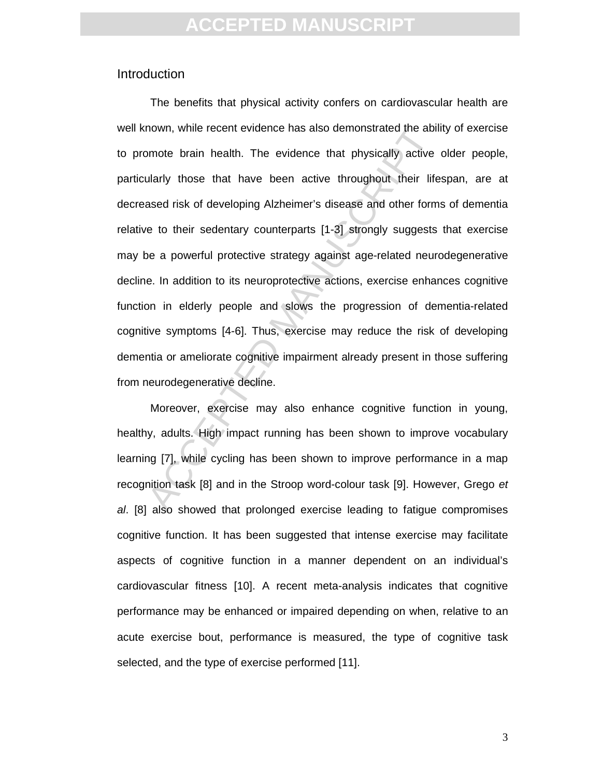### Introduction

mown, while recent evidence has also demonstrated the abil<br>mote brain health. The evidence that physically active<br>ularly those that have been active throughout their life<br>ased risk of developing Alzheimer's disease and oth The benefits that physical activity confers on cardiovascular health are well known, while recent evidence has also demonstrated the ability of exercise to promote brain health. The evidence that physically active older people, particularly those that have been active throughout their lifespan, are at decreased risk of developing Alzheimer's disease and other forms of dementia relative to their sedentary counterparts [1-3] strongly suggests that exercise may be a powerful protective strategy against age-related neurodegenerative decline. In addition to its neuroprotective actions, exercise enhances cognitive function in elderly people and slows the progression of dementia-related cognitive symptoms [4-6]. Thus, exercise may reduce the risk of developing dementia or ameliorate cognitive impairment already present in those suffering from neurodegenerative decline.

Moreover, exercise may also enhance cognitive function in young, healthy, adults. High impact running has been shown to improve vocabulary learning [7], while cycling has been shown to improve performance in a map recognition task [8] and in the Stroop word-colour task [9]. However, Grego et al. [8] also showed that prolonged exercise leading to fatigue compromises cognitive function. It has been suggested that intense exercise may facilitate aspects of cognitive function in a manner dependent on an individual's cardiovascular fitness [10]. A recent meta-analysis indicates that cognitive performance may be enhanced or impaired depending on when, relative to an acute exercise bout, performance is measured, the type of cognitive task selected, and the type of exercise performed [11].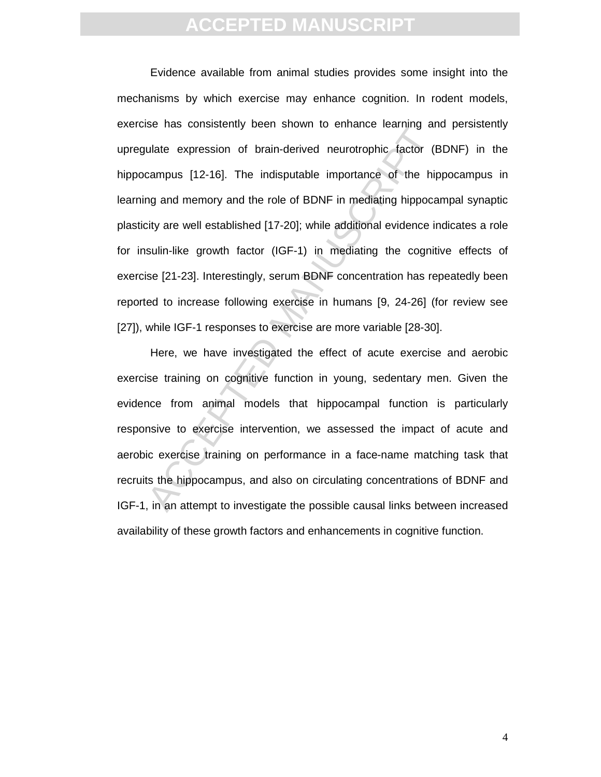bulate expression of brain-derived neurotrophic factor (E<br>campus [12-16]. The indisputable importance of the hip<br>ng and memory and the role of BDNF in mediating hippoca<br>ity are well established [17-20]; while additional ev Evidence available from animal studies provides some insight into the mechanisms by which exercise may enhance cognition. In rodent models, exercise has consistently been shown to enhance learning and persistently upregulate expression of brain-derived neurotrophic factor (BDNF) in the hippocampus [12-16]. The indisputable importance of the hippocampus in learning and memory and the role of BDNF in mediating hippocampal synaptic plasticity are well established [17-20]; while additional evidence indicates a role for insulin-like growth factor (IGF-1) in mediating the cognitive effects of exercise [21-23]. Interestingly, serum BDNF concentration has repeatedly been reported to increase following exercise in humans [9, 24-26] (for review see [27]), while IGF-1 responses to exercise are more variable [28-30].

Here, we have investigated the effect of acute exercise and aerobic exercise training on cognitive function in young, sedentary men. Given the evidence from animal models that hippocampal function is particularly responsive to exercise intervention, we assessed the impact of acute and aerobic exercise training on performance in a face-name matching task that recruits the hippocampus, and also on circulating concentrations of BDNF and IGF-1, in an attempt to investigate the possible causal links between increased availability of these growth factors and enhancements in cognitive function.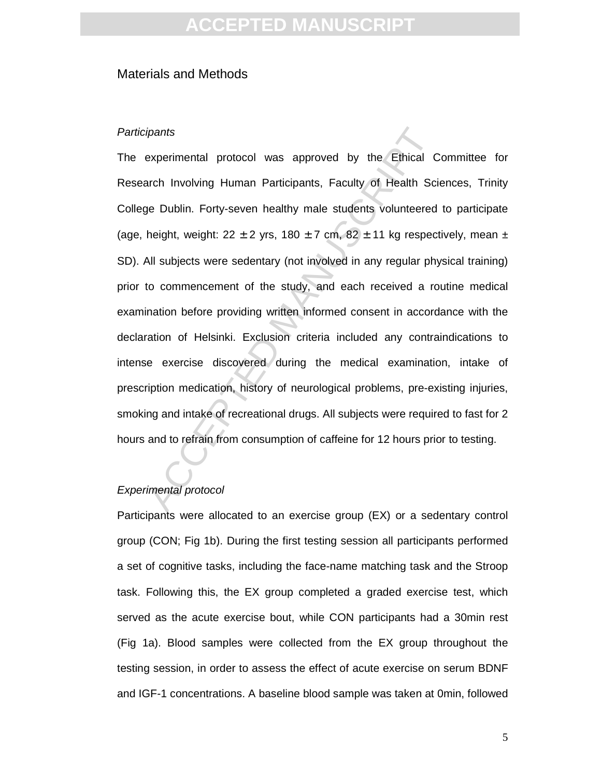### Materials and Methods

#### **Participants**

meants<br>
syperimental protocol was approved by the Ethical C<br>
syperimental protocol was approved by the Ethical C<br>
ge Dublin. Forty-seven healthy male students volunteered<br>
height, weight:  $22 \pm 2$  yrs,  $180 \pm 7$  cm,  $82 \pm$ The experimental protocol was approved by the Ethical Committee for Research Involving Human Participants, Faculty of Health Sciences, Trinity College Dublin. Forty-seven healthy male students volunteered to participate (age, height, weight:  $22 \pm 2$  yrs,  $180 \pm 7$  cm,  $82 \pm 11$  kg respectively, mean  $\pm$ SD). All subjects were sedentary (not involved in any regular physical training) prior to commencement of the study, and each received a routine medical examination before providing written informed consent in accordance with the declaration of Helsinki. Exclusion criteria included any contraindications to intense exercise discovered during the medical examination, intake of prescription medication, history of neurological problems, pre-existing injuries, smoking and intake of recreational drugs. All subjects were required to fast for 2 hours and to refrain from consumption of caffeine for 12 hours prior to testing.

#### Experimental protocol

Participants were allocated to an exercise group (EX) or a sedentary control group (CON; Fig 1b). During the first testing session all participants performed a set of cognitive tasks, including the face-name matching task and the Stroop task. Following this, the EX group completed a graded exercise test, which served as the acute exercise bout, while CON participants had a 30min rest (Fig 1a). Blood samples were collected from the EX group throughout the testing session, in order to assess the effect of acute exercise on serum BDNF and IGF-1 concentrations. A baseline blood sample was taken at 0min, followed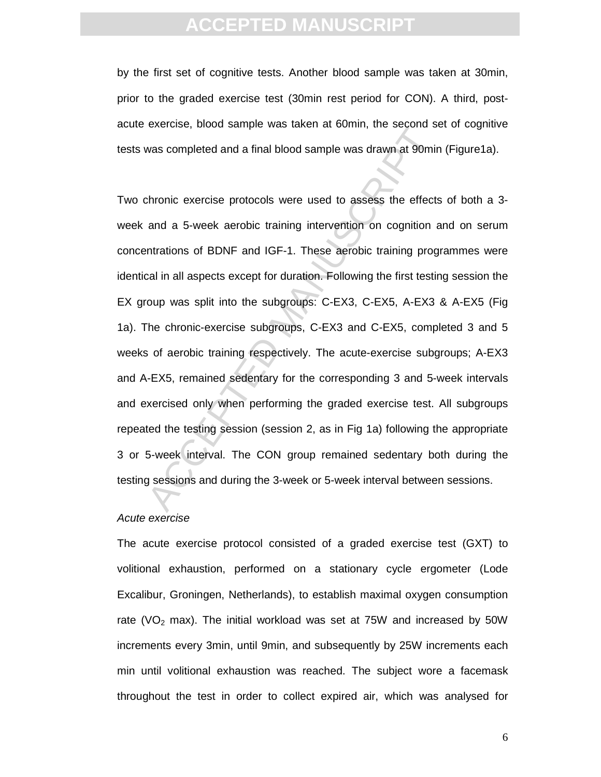# **ACCEPTED MANU**

by the first set of cognitive tests. Another blood sample was taken at 30min, prior to the graded exercise test (30min rest period for CON). A third, postacute exercise, blood sample was taken at 60min, the second set of cognitive tests was completed and a final blood sample was drawn at 90min (Figure1a).

Mas completed and a final blood sample was drawn, the second states and a final blood sample was drawn at 90min<br>
Amonic exercise protocols were used to assess the effects<br>
and a 5-week aerobic training intervention on cogn Two chronic exercise protocols were used to assess the effects of both a 3 week and a 5-week aerobic training intervention on cognition and on serum concentrations of BDNF and IGF-1. These aerobic training programmes were identical in all aspects except for duration. Following the first testing session the EX group was split into the subgroups: C-EX3, C-EX5, A-EX3 & A-EX5 (Fig 1a). The chronic-exercise subgroups, C-EX3 and C-EX5, completed 3 and 5 weeks of aerobic training respectively. The acute-exercise subgroups; A-EX3 and A-EX5, remained sedentary for the corresponding 3 and 5-week intervals and exercised only when performing the graded exercise test. All subgroups repeated the testing session (session 2, as in Fig 1a) following the appropriate 3 or 5-week interval. The CON group remained sedentary both during the testing sessions and during the 3-week or 5-week interval between sessions.

#### Acute exercise

The acute exercise protocol consisted of a graded exercise test (GXT) to volitional exhaustion, performed on a stationary cycle ergometer (Lode Excalibur, Groningen, Netherlands), to establish maximal oxygen consumption rate (VO<sub>2</sub> max). The initial workload was set at 75W and increased by 50W increments every 3min, until 9min, and subsequently by 25W increments each min until volitional exhaustion was reached. The subject wore a facemask throughout the test in order to collect expired air, which was analysed for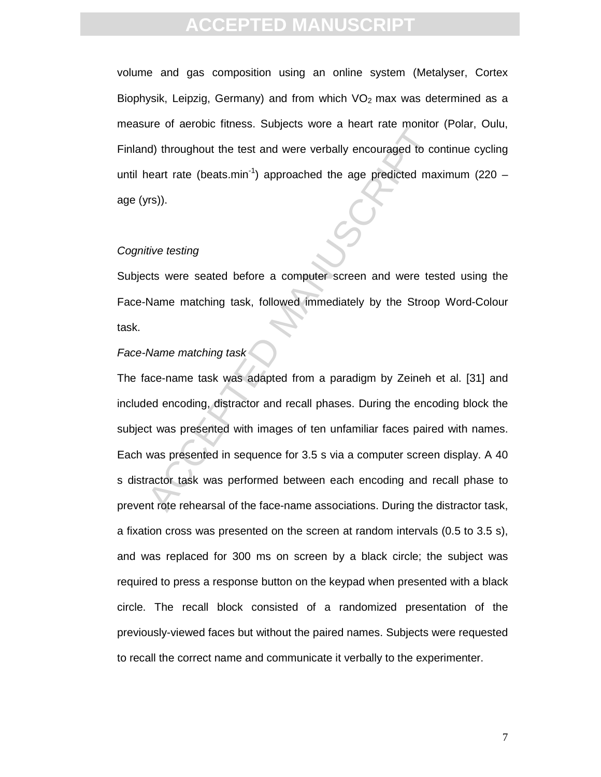volume and gas composition using an online system (Metalyser, Cortex Biophysik, Leipzig, Germany) and from which  $VO<sub>2</sub>$  max was determined as a measure of aerobic fitness. Subjects wore a heart rate monitor (Polar, Oulu, Finland) throughout the test and were verbally encouraged to continue cycling until heart rate (beats.min<sup>-1</sup>) approached the age predicted maximum (220 – age (yrs)).

#### Cognitive testing

Subjects were seated before a computer screen and were tested using the Face-Name matching task, followed immediately by the Stroop Word-Colour task.

### Face-Name matching task

d) throughout the test and were verbally encouraged to consert rate (beats.min<sup>-1</sup>) approached the age predicted may<br>
(d) throughout the test and were verbally encouraged to consert rate (beats.min<sup>-1</sup>) approached the age The face-name task was adapted from a paradigm by Zeineh et al. [31] and included encoding, distractor and recall phases. During the encoding block the subject was presented with images of ten unfamiliar faces paired with names. Each was presented in sequence for 3.5 s via a computer screen display. A 40 s distractor task was performed between each encoding and recall phase to prevent rote rehearsal of the face-name associations. During the distractor task, a fixation cross was presented on the screen at random intervals (0.5 to 3.5 s), and was replaced for 300 ms on screen by a black circle; the subject was required to press a response button on the keypad when presented with a black circle. The recall block consisted of a randomized presentation of the previously-viewed faces but without the paired names. Subjects were requested to recall the correct name and communicate it verbally to the experimenter.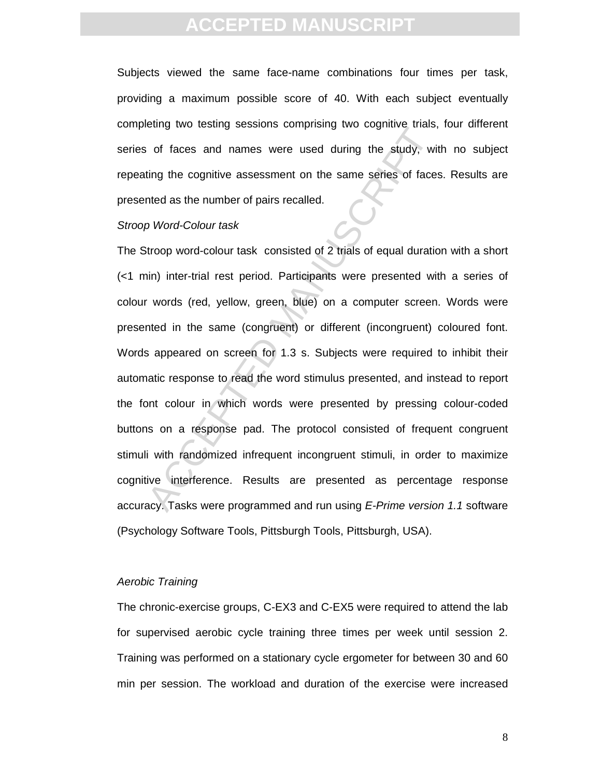Subjects viewed the same face-name combinations four times per task, providing a maximum possible score of 40. With each subject eventually completing two testing sessions comprising two cognitive trials, four different series of faces and names were used during the study, with no subject repeating the cognitive assessment on the same series of faces. Results are presented as the number of pairs recalled.

#### Stroop Word-Colour task

ouring the techning accounts complising the edginate trans,<br>of faces and names were used during the study, wit<br>ting the cognitive assessment on the same series of faces<br>hed as the number of pairs recalled.<br>Divord-Colour ta The Stroop word-colour task consisted of 2 trials of equal duration with a short (<1 min) inter-trial rest period. Participants were presented with a series of colour words (red, yellow, green, blue) on a computer screen. Words were presented in the same (congruent) or different (incongruent) coloured font. Words appeared on screen for 1.3 s. Subjects were required to inhibit their automatic response to read the word stimulus presented, and instead to report the font colour in which words were presented by pressing colour-coded buttons on a response pad. The protocol consisted of frequent congruent stimuli with randomized infrequent incongruent stimuli, in order to maximize cognitive interference. Results are presented as percentage response accuracy. Tasks were programmed and run using E-Prime version 1.1 software (Psychology Software Tools, Pittsburgh Tools, Pittsburgh, USA).

#### Aerobic Training

The chronic-exercise groups, C-EX3 and C-EX5 were required to attend the lab for supervised aerobic cycle training three times per week until session 2. Training was performed on a stationary cycle ergometer for between 30 and 60 min per session. The workload and duration of the exercise were increased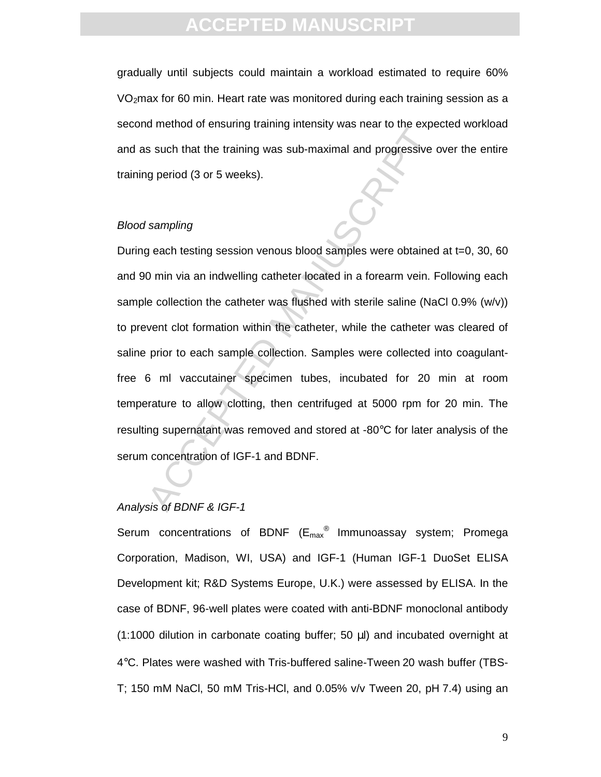# **ACCEPTED MANUS**

gradually until subjects could maintain a workload estimated to require 60% VO<sub>2</sub>max for 60 min. Heart rate was monitored during each training session as a second method of ensuring training intensity was near to the expected workload and as such that the training was sub-maximal and progressive over the entire training period (3 or 5 weeks).

#### Blood sampling

action of the training manning intensity was head to the experimental standard progressive of several standard progressive of generiod (3 or 5 weeks).<br>
Sampling<br>
a each testing session venous blood samples were obtained<br>
o During each testing session venous blood samples were obtained at t=0, 30, 60 and 90 min via an indwelling catheter located in a forearm vein. Following each sample collection the catheter was flushed with sterile saline (NaCl 0.9% (w/v)) to prevent clot formation within the catheter, while the catheter was cleared of saline prior to each sample collection. Samples were collected into coagulantfree 6 ml vaccutainer specimen tubes, incubated for 20 min at room temperature to allow clotting, then centrifuged at 5000 rpm for 20 min. The resulting supernatant was removed and stored at -80°C for later analysis of the serum concentration of IGF-1 and BDNF.

### Analysis of BDNF & IGF-1

Serum concentrations of BDNF (E<sub>max</sub><sup>®</sup> Immunoassay system; Promega Corporation, Madison, WI, USA) and IGF-1 (Human IGF-1 DuoSet ELISA Development kit; R&D Systems Europe, U.K.) were assessed by ELISA. In the case of BDNF, 96-well plates were coated with anti-BDNF monoclonal antibody (1:1000 dilution in carbonate coating buffer; 50 µl) and incubated overnight at 4°C. Plates were washed with Tris-buffered saline-Tween 20 wash buffer (TBS-T; 150 mM NaCl, 50 mM Tris-HCl, and 0.05% v/v Tween 20, pH 7.4) using an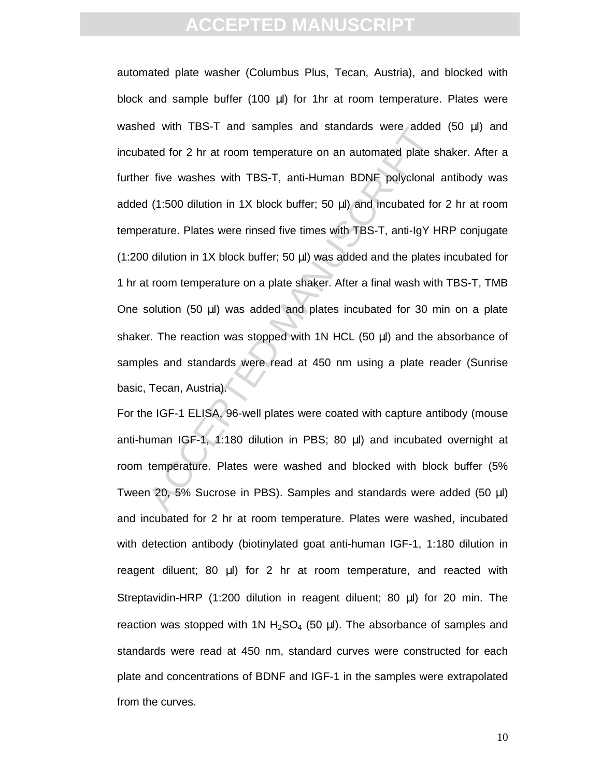Bot with 1BS-1 and samples and standards were added<br>tated for 2 hr at room temperature on an automated plate s<br>r five washes with TBS-T, anti-Human BDNF polyclonal<br>(1:500 dilution in 1X block buffer; 50  $\mu$ l) and incubat automated plate washer (Columbus Plus, Tecan, Austria), and blocked with block and sample buffer (100 µl) for 1hr at room temperature. Plates were washed with TBS-T and samples and standards were added (50 µl) and incubated for 2 hr at room temperature on an automated plate shaker. After a further five washes with TBS-T, anti-Human BDNF polyclonal antibody was added (1:500 dilution in 1X block buffer; 50 µl) and incubated for 2 hr at room temperature. Plates were rinsed five times with TBS-T, anti-IgY HRP conjugate (1:200 dilution in 1X block buffer; 50 µl) was added and the plates incubated for 1 hr at room temperature on a plate shaker. After a final wash with TBS-T, TMB One solution (50  $\mu$ I) was added and plates incubated for 30 min on a plate shaker. The reaction was stopped with 1N HCL  $(50 \mu l)$  and the absorbance of samples and standards were read at 450 nm using a plate reader (Sunrise basic, Tecan, Austria).

For the IGF-1 ELISA, 96-well plates were coated with capture antibody (mouse anti-human IGF-1, 1:180 dilution in PBS; 80 µl) and incubated overnight at room temperature. Plates were washed and blocked with block buffer (5% Tween 20, 5% Sucrose in PBS). Samples and standards were added (50 µl) and incubated for 2 hr at room temperature. Plates were washed, incubated with detection antibody (biotinylated goat anti-human IGF-1, 1:180 dilution in reagent diluent; 80 µl) for 2 hr at room temperature, and reacted with Streptavidin-HRP (1:200 dilution in reagent diluent; 80 µl) for 20 min. The reaction was stopped with 1N  $H_2SO_4$  (50 µl). The absorbance of samples and standards were read at 450 nm, standard curves were constructed for each plate and concentrations of BDNF and IGF-1 in the samples were extrapolated from the curves.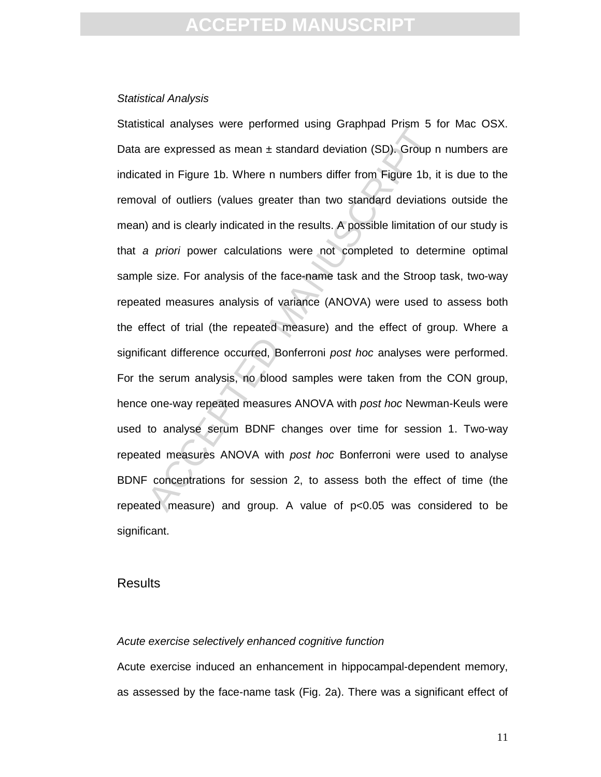#### Statistical Analysis

action analysis were performed doing straphped Frism 5 is<br>are expressed as mean ± standard deviation (SD). Group r<br>ted in Figure 1b. Where n numbers differ from Figure 1b, it<br>al of outliers (values greater than two standar Statistical analyses were performed using Graphpad Prism 5 for Mac OSX. Data are expressed as mean  $\pm$  standard deviation (SD). Group n numbers are indicated in Figure 1b. Where n numbers differ from Figure 1b, it is due to the removal of outliers (values greater than two standard deviations outside the mean) and is clearly indicated in the results. A possible limitation of our study is that a priori power calculations were not completed to determine optimal sample size. For analysis of the face-name task and the Stroop task, two-way repeated measures analysis of variance (ANOVA) were used to assess both the effect of trial (the repeated measure) and the effect of group. Where a significant difference occurred, Bonferroni post hoc analyses were performed. For the serum analysis, no blood samples were taken from the CON group, hence one-way repeated measures ANOVA with post hoc Newman-Keuls were used to analyse serum BDNF changes over time for session 1. Two-way repeated measures ANOVA with post hoc Bonferroni were used to analyse BDNF concentrations for session 2, to assess both the effect of time (the repeated measure) and group. A value of  $p<0.05$  was considered to be significant.

### Results

#### Acute exercise selectively enhanced cognitive function

Acute exercise induced an enhancement in hippocampal-dependent memory, as assessed by the face-name task (Fig. 2a). There was a significant effect of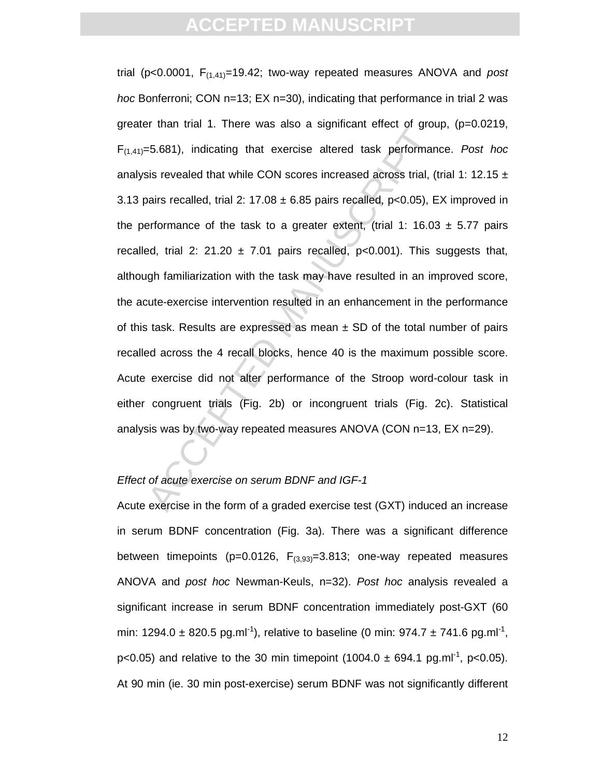# **ACCEPTED MANUS**

At that is interested and subsets altered task performant since and and the service and subsets altered task performant since altered that while CON scores increased across trial, (the basis recalled, trial 2: 17.08 ± 6.8 trial ( $p < 0.0001$ ,  $F_{(1,41)} = 19.42$ ; two-way repeated measures ANOVA and post hoc Bonferroni; CON n=13; EX n=30), indicating that performance in trial 2 was greater than trial 1. There was also a significant effect of group, (p=0.0219,  $F_{(1,41)}=5.681$ , indicating that exercise altered task performance. Post hoc analysis revealed that while CON scores increased across trial, (trial 1: 12.15  $\pm$ 3.13 pairs recalled, trial 2:  $17.08 \pm 6.85$  pairs recalled, p<0.05), EX improved in the performance of the task to a greater extent, (trial 1: 16.03  $\pm$  5.77 pairs recalled, trial 2: 21.20  $\pm$  7.01 pairs recalled, p<0.001). This suggests that, although familiarization with the task may have resulted in an improved score, the acute-exercise intervention resulted in an enhancement in the performance of this task. Results are expressed as mean  $\pm$  SD of the total number of pairs recalled across the 4 recall blocks, hence 40 is the maximum possible score. Acute exercise did not alter performance of the Stroop word-colour task in either congruent trials (Fig. 2b) or incongruent trials (Fig. 2c). Statistical analysis was by two-way repeated measures ANOVA (CON n=13, EX n=29).

### Effect of acute exercise on serum BDNF and IGF-1

Acute exercise in the form of a graded exercise test (GXT) induced an increase in serum BDNF concentration (Fig. 3a). There was a significant difference between timepoints ( $p=0.0126$ ,  $F_{(3,93)}=3.813$ ; one-way repeated measures ANOVA and post hoc Newman-Keuls, n=32). Post hoc analysis revealed a significant increase in serum BDNF concentration immediately post-GXT (60 min: 1294.0  $\pm$  820.5 pg.ml<sup>-1</sup>), relative to baseline (0 min: 974.7  $\pm$  741.6 pg.ml<sup>-1</sup>,  $p<0.05$ ) and relative to the 30 min timepoint (1004.0  $\pm$  694.1 pg.ml<sup>-1</sup>, p<0.05). At 90 min (ie. 30 min post-exercise) serum BDNF was not significantly different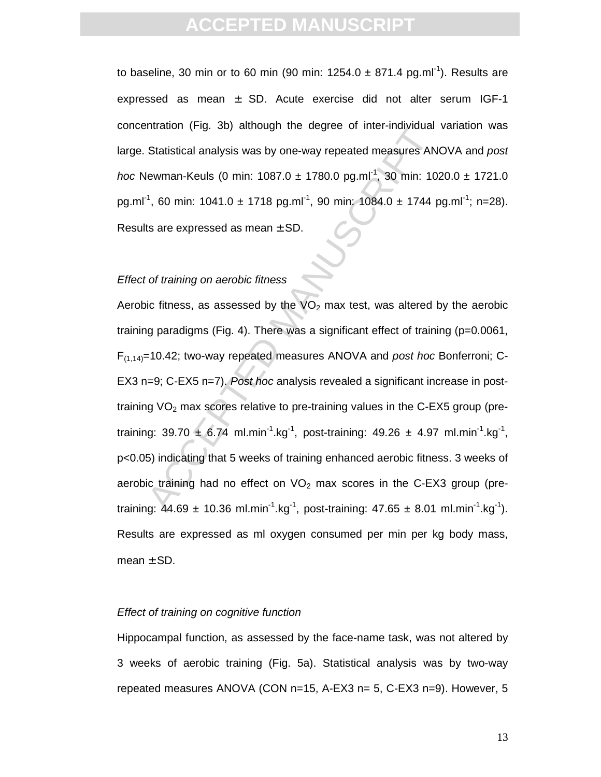# **CCEPTED MANU**

to baseline, 30 min or to 60 min (90 min:  $1254.0 \pm 871.4$  pg.ml<sup>-1</sup>). Results are expressed as mean  $\pm$  SD. Acute exercise did not alter serum IGF-1 concentration (Fig. 3b) although the degree of inter-individual variation was large. Statistical analysis was by one-way repeated measures ANOVA and post hoc Newman-Keuls (0 min: 1087.0  $\pm$  1780.0 pg.ml<sup>-1</sup>, 30 min: 1020.0  $\pm$  1721.0 pg.ml<sup>-1</sup>, 60 min: 1041.0 ± 1718 pg.ml<sup>-1</sup>, 90 min: 1084.0 ± 1744 pg.ml<sup>-1</sup>; n=28). Results are expressed as mean  $\pm$  SD.

### Effect of training on aerobic fitness

Statistical analysis was by one-way repeated measures AN<br>
Newman-Keuls (0 min: 1087.0 ± 1780.0 pg.ml<sup>-1</sup>, 30 min: 10<br>
<sup>1</sup>, 60 min: 1041.0 ± 1718 pg.ml<sup>-1</sup>, 90 min: 1084.0 ± 1744 p<br>
ts are expressed as mean ± SD.<br>
of train Aerobic fitness, as assessed by the  $VO<sub>2</sub>$  max test, was altered by the aerobic training paradigms (Fig. 4). There was a significant effect of training (p=0.0061,  $F_{(1,14)}$ =10.42; two-way repeated measures ANOVA and post hoc Bonferroni; C-EX3 n=9; C-EX5 n=7). Post hoc analysis revealed a significant increase in posttraining  $VO<sub>2</sub>$  max scores relative to pre-training values in the C-EX5 group (pretraining: 39.70  $\pm$  6.74 ml.min<sup>-1</sup>.kg<sup>-1</sup>, post-training: 49.26  $\pm$  4.97 ml.min<sup>-1</sup>.kg<sup>-1</sup>, p<0.05) indicating that 5 weeks of training enhanced aerobic fitness. 3 weeks of aerobic training had no effect on  $VO<sub>2</sub>$  max scores in the C-EX3 group (pretraining:  $44.69 \pm 10.36 \text{ ml.min}^{-1}$ .kg<sup>-1</sup>, post-training:  $47.65 \pm 8.01 \text{ ml.min}^{-1}$ .kg<sup>-1</sup>). Results are expressed as ml oxygen consumed per min per kg body mass, mean  $\pm$  SD.

#### Effect of training on cognitive function

Hippocampal function, as assessed by the face-name task, was not altered by 3 weeks of aerobic training (Fig. 5a). Statistical analysis was by two-way repeated measures ANOVA (CON n=15, A-EX3 n= 5, C-EX3 n=9). However, 5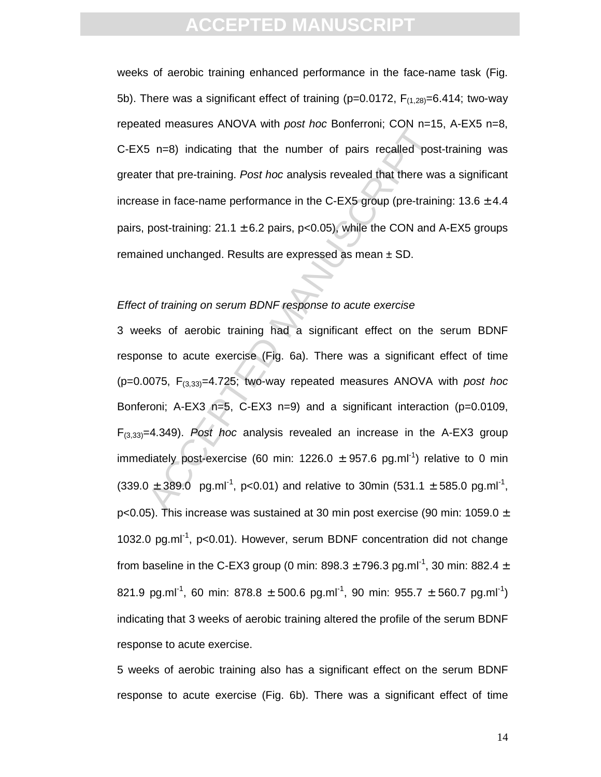# **CCEPTED MANUS**

weeks of aerobic training enhanced performance in the face-name task (Fig. 5b). There was a significant effect of training ( $p=0.0172$ ,  $F_{(1,28)}=6.414$ ; two-way repeated measures ANOVA with post hoc Bonferroni; CON n=15, A-EX5 n=8, C-EX5 n=8) indicating that the number of pairs recalled post-training was greater that pre-training. Post hoc analysis revealed that there was a significant increase in face-name performance in the C-EX5 group (pre-training:  $13.6 \pm 4.4$ ) pairs, post-training:  $21.1 \pm 6.2$  pairs, p<0.05), while the CON and A-EX5 groups remained unchanged. Results are expressed as mean  $\pm$  SD.

#### Effect of training on serum BDNF response to acute exercise

is n=8) indicating that the number of pairs recalled position and the number of pairs recalled position and the re-training. *Post hoc* analysis revealed that there was ein face-name performance in the C-EX5 group (pre-tr 3 weeks of aerobic training had a significant effect on the serum BDNF response to acute exercise (Fig. 6a). There was a significant effect of time ( $p=0.0075$ ,  $F_{(3,33)}=4.725$ ; two-way repeated measures ANOVA with post hoc Bonferoni; A-EX3 n=5, C-EX3 n=9) and a significant interaction (p=0.0109,  $F_{(3,33)}=4.349$ ). Post hoc analysis revealed an increase in the A-EX3 group immediately post-exercise (60 min: 1226.0  $\pm$  957.6 pg.ml<sup>-1</sup>) relative to 0 min  $(339.0 \pm 389.0 \text{ pg.ml}^{-1}, \text{ p<0.01})$  and relative to 30min (531.1 ± 585.0 pg.ml<sup>-1</sup>, p<0.05). This increase was sustained at 30 min post exercise (90 min: 1059.0  $\pm$ 1032.0 pg.ml-1, p<0.01). However, serum BDNF concentration did not change from baseline in the C-EX3 group (0 min:  $898.3 \pm 796.3$  pg.ml<sup>-1</sup>, 30 min:  $882.4 \pm$ 821.9 pg.ml<sup>-1</sup>, 60 min: 878.8  $\pm$  500.6 pg.ml<sup>-1</sup>, 90 min: 955.7  $\pm$  560.7 pg.ml<sup>-1</sup>) indicating that 3 weeks of aerobic training altered the profile of the serum BDNF response to acute exercise.

5 weeks of aerobic training also has a significant effect on the serum BDNF response to acute exercise (Fig. 6b). There was a significant effect of time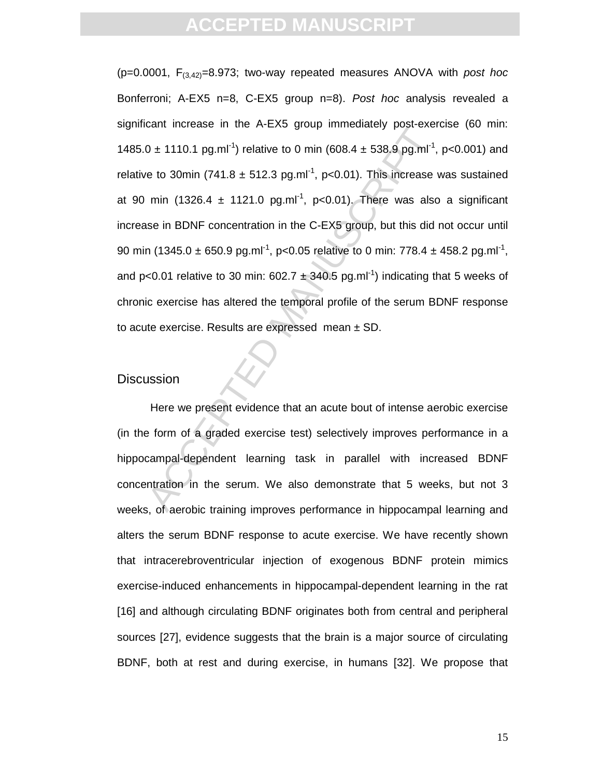$0 \pm 1110.1$  pg.ml<sup>-1</sup>) relative to 0 min (608.4  $\pm$  538.9 pg.ml<sup>-1</sup>,<br>
to 30min (741.8  $\pm$  512.3 pg.ml<sup>-1</sup>, p<0.01). This increase win (1326.4  $\pm$  1121.0 pg.ml<sup>-1</sup>, p<0.01). This increase win (1326.4  $\pm$  1121.0 pg.ml<sup></sup> ( $p=0.0001$ ,  $F_{(3,42)}=8.973$ ; two-way repeated measures ANOVA with post hoc Bonferroni; A-EX5 n=8, C-EX5 group n=8). Post hoc analysis revealed a significant increase in the A-EX5 group immediately post-exercise (60 min: 1485.0  $\pm$  1110.1 pg.ml<sup>-1</sup>) relative to 0 min (608.4  $\pm$  538.9 pg.ml<sup>-1</sup>, p<0.001) and relative to 30min (741.8  $\pm$  512.3 pg.ml<sup>-1</sup>, p<0.01). This increase was sustained at 90 min (1326.4  $\pm$  1121.0 pg.ml<sup>-1</sup>, p<0.01). There was also a significant increase in BDNF concentration in the C-EX5 group, but this did not occur until 90 min (1345.0  $\pm$  650.9 pg.ml<sup>-1</sup>, p<0.05 relative to 0 min: 778.4  $\pm$  458.2 pg.ml<sup>-1</sup>, and p<0.01 relative to 30 min:  $602.7 \pm 340.5$  pg.ml<sup>-1</sup>) indicating that 5 weeks of chronic exercise has altered the temporal profile of the serum BDNF response to acute exercise. Results are expressed mean  $\pm$  SD.

### **Discussion**

Here we present evidence that an acute bout of intense aerobic exercise (in the form of a graded exercise test) selectively improves performance in a hippocampal-dependent learning task in parallel with increased BDNF concentration in the serum. We also demonstrate that 5 weeks, but not 3 weeks, of aerobic training improves performance in hippocampal learning and alters the serum BDNF response to acute exercise. We have recently shown that intracerebroventricular injection of exogenous BDNF protein mimics exercise-induced enhancements in hippocampal-dependent learning in the rat [16] and although circulating BDNF originates both from central and peripheral sources [27], evidence suggests that the brain is a major source of circulating BDNF, both at rest and during exercise, in humans [32]. We propose that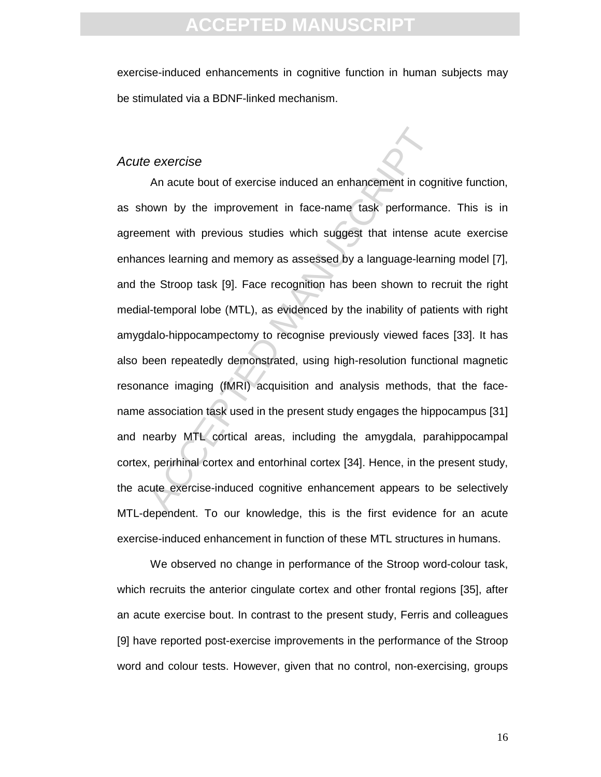exercise-induced enhancements in cognitive function in human subjects may be stimulated via a BDNF-linked mechanism.

#### Acute exercise

Beta exercise<br>
An acute bout of exercise induced an enhancement in cognown by the improvement in face-name task performancement with previous studies which suggest that intense a<br>
neces learning and memory as assessed by a An acute bout of exercise induced an enhancement in cognitive function, as shown by the improvement in face-name task performance. This is in agreement with previous studies which suggest that intense acute exercise enhances learning and memory as assessed by a language-learning model [7], and the Stroop task [9]. Face recognition has been shown to recruit the right medial-temporal lobe (MTL), as evidenced by the inability of patients with right amygdalo-hippocampectomy to recognise previously viewed faces [33]. It has also been repeatedly demonstrated, using high-resolution functional magnetic resonance imaging (fMRI) acquisition and analysis methods, that the facename association task used in the present study engages the hippocampus [31] and nearby MTL cortical areas, including the amygdala, parahippocampal cortex, perirhinal cortex and entorhinal cortex [34]. Hence, in the present study, the acute exercise-induced cognitive enhancement appears to be selectively MTL-dependent. To our knowledge, this is the first evidence for an acute exercise-induced enhancement in function of these MTL structures in humans.

We observed no change in performance of the Stroop word-colour task, which recruits the anterior cingulate cortex and other frontal regions [35], after an acute exercise bout. In contrast to the present study, Ferris and colleagues [9] have reported post-exercise improvements in the performance of the Stroop word and colour tests. However, given that no control, non-exercising, groups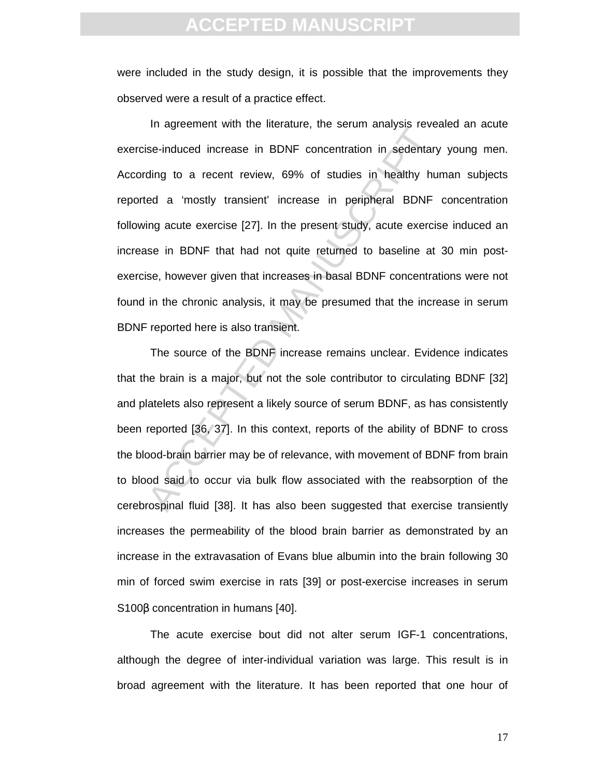were included in the study design, it is possible that the improvements they observed were a result of a practice effect.

In agreement with the increasing, the setuan analysis isse-<br>se-induced increase in BDNF concentration in sedentary<br>ding to a recent review, 69% of studies in healthy hu<br>ed a 'mostly transient' increase in peripheral BDNF<br>i In agreement with the literature, the serum analysis revealed an acute exercise-induced increase in BDNF concentration in sedentary young men. According to a recent review, 69% of studies in healthy human subjects reported a 'mostly transient' increase in peripheral BDNF concentration following acute exercise [27]. In the present study, acute exercise induced an increase in BDNF that had not quite returned to baseline at 30 min postexercise, however given that increases in basal BDNF concentrations were not found in the chronic analysis, it may be presumed that the increase in serum BDNF reported here is also transient.

The source of the BDNF increase remains unclear. Evidence indicates that the brain is a major, but not the sole contributor to circulating BDNF [32] and platelets also represent a likely source of serum BDNF, as has consistently been reported [36, 37]. In this context, reports of the ability of BDNF to cross the blood-brain barrier may be of relevance, with movement of BDNF from brain to blood said to occur via bulk flow associated with the reabsorption of the cerebrospinal fluid [38]. It has also been suggested that exercise transiently increases the permeability of the blood brain barrier as demonstrated by an increase in the extravasation of Evans blue albumin into the brain following 30 min of forced swim exercise in rats [39] or post-exercise increases in serum S100β concentration in humans [40].

The acute exercise bout did not alter serum IGF-1 concentrations, although the degree of inter-individual variation was large. This result is in broad agreement with the literature. It has been reported that one hour of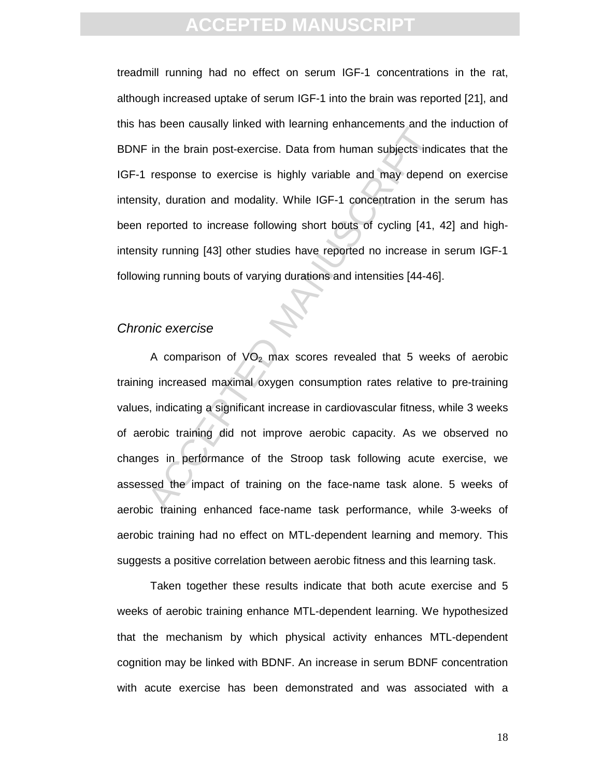treadmill running had no effect on serum IGF-1 concentrations in the rat, although increased uptake of serum IGF-1 into the brain was reported [21], and this has been causally linked with learning enhancements and the induction of BDNF in the brain post-exercise. Data from human subjects indicates that the IGF-1 response to exercise is highly variable and may depend on exercise intensity, duration and modality. While IGF-1 concentration in the serum has been reported to increase following short bouts of cycling [41, 42] and highintensity running [43] other studies have reported no increase in serum IGF-1 following running bouts of varying durations and intensities [44-46].

### Chronic exercise

and the brain post-exercise. Data from human subjects indivisors to exercise is highly variable and may depend<br>response to exercise is highly variable and may depend<br>ity, duration and modality. While IGF-1 concentration in A comparison of  $VO<sub>2</sub>$  max scores revealed that 5 weeks of aerobic training increased maximal oxygen consumption rates relative to pre-training values, indicating a significant increase in cardiovascular fitness, while 3 weeks of aerobic training did not improve aerobic capacity. As we observed no changes in performance of the Stroop task following acute exercise, we assessed the impact of training on the face-name task alone. 5 weeks of aerobic training enhanced face-name task performance, while 3-weeks of aerobic training had no effect on MTL-dependent learning and memory. This suggests a positive correlation between aerobic fitness and this learning task.

Taken together these results indicate that both acute exercise and 5 weeks of aerobic training enhance MTL-dependent learning. We hypothesized that the mechanism by which physical activity enhances MTL-dependent cognition may be linked with BDNF. An increase in serum BDNF concentration with acute exercise has been demonstrated and was associated with a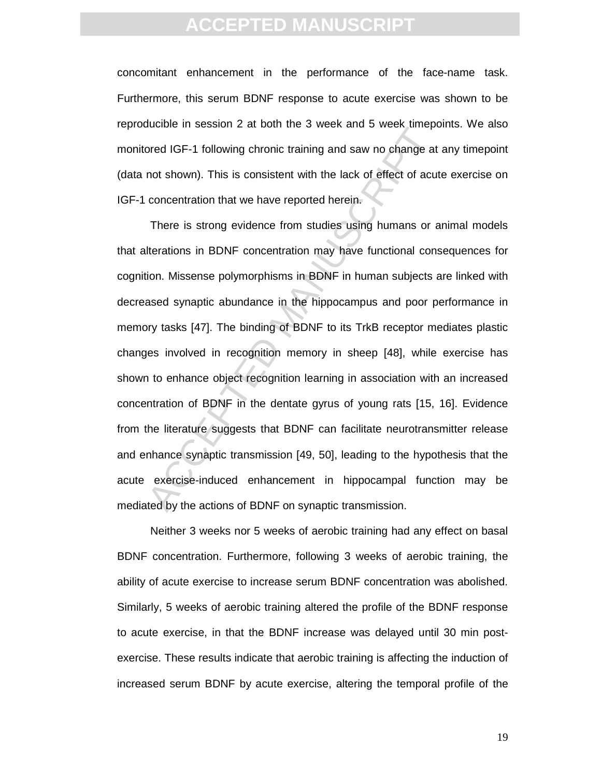concomitant enhancement in the performance of the face-name task. Furthermore, this serum BDNF response to acute exercise was shown to be reproducible in session 2 at both the 3 week and 5 week timepoints. We also monitored IGF-1 following chronic training and saw no change at any timepoint (data not shown). This is consistent with the lack of effect of acute exercise on IGF-1 concentration that we have reported herein.

accelering and saw no change at the state of the state of the state of the state and state in the state of the state of effect of acut concentration that we have reported herein.<br>There is strong evidence from studies using There is strong evidence from studies using humans or animal models that alterations in BDNF concentration may have functional consequences for cognition. Missense polymorphisms in BDNF in human subjects are linked with decreased synaptic abundance in the hippocampus and poor performance in memory tasks [47]. The binding of BDNF to its TrkB receptor mediates plastic changes involved in recognition memory in sheep [48], while exercise has shown to enhance object recognition learning in association with an increased concentration of BDNF in the dentate gyrus of young rats [15, 16]. Evidence from the literature suggests that BDNF can facilitate neurotransmitter release and enhance synaptic transmission [49, 50], leading to the hypothesis that the acute exercise-induced enhancement in hippocampal function may be mediated by the actions of BDNF on synaptic transmission.

Neither 3 weeks nor 5 weeks of aerobic training had any effect on basal BDNF concentration. Furthermore, following 3 weeks of aerobic training, the ability of acute exercise to increase serum BDNF concentration was abolished. Similarly, 5 weeks of aerobic training altered the profile of the BDNF response to acute exercise, in that the BDNF increase was delayed until 30 min postexercise. These results indicate that aerobic training is affecting the induction of increased serum BDNF by acute exercise, altering the temporal profile of the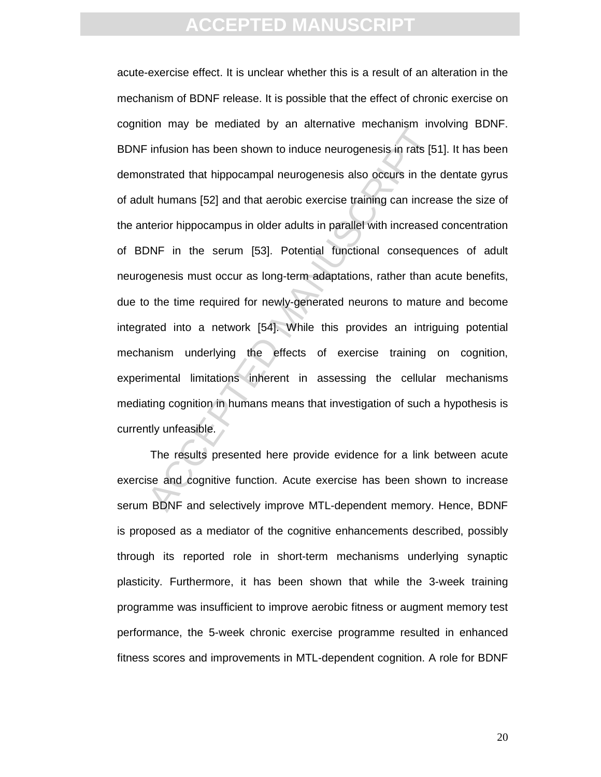Find that is the set all decreases in the set all decreases in the infusion has been shown to induce neurogenesis in rats [5] instrated that hippocampal neurogenesis also occurs in the ill humans [52] and that aerobic exer acute-exercise effect. It is unclear whether this is a result of an alteration in the mechanism of BDNF release. It is possible that the effect of chronic exercise on cognition may be mediated by an alternative mechanism involving BDNF. BDNF infusion has been shown to induce neurogenesis in rats [51]. It has been demonstrated that hippocampal neurogenesis also occurs in the dentate gyrus of adult humans [52] and that aerobic exercise training can increase the size of the anterior hippocampus in older adults in parallel with increased concentration of BDNF in the serum [53]. Potential functional consequences of adult neurogenesis must occur as long-term adaptations, rather than acute benefits, due to the time required for newly-generated neurons to mature and become integrated into a network [54]. While this provides an intriguing potential mechanism underlying the effects of exercise training on cognition, experimental limitations inherent in assessing the cellular mechanisms mediating cognition in humans means that investigation of such a hypothesis is currently unfeasible.

The results presented here provide evidence for a link between acute exercise and cognitive function. Acute exercise has been shown to increase serum BDNF and selectively improve MTL-dependent memory. Hence, BDNF is proposed as a mediator of the cognitive enhancements described, possibly through its reported role in short-term mechanisms underlying synaptic plasticity. Furthermore, it has been shown that while the 3-week training programme was insufficient to improve aerobic fitness or augment memory test performance, the 5-week chronic exercise programme resulted in enhanced fitness scores and improvements in MTL-dependent cognition. A role for BDNF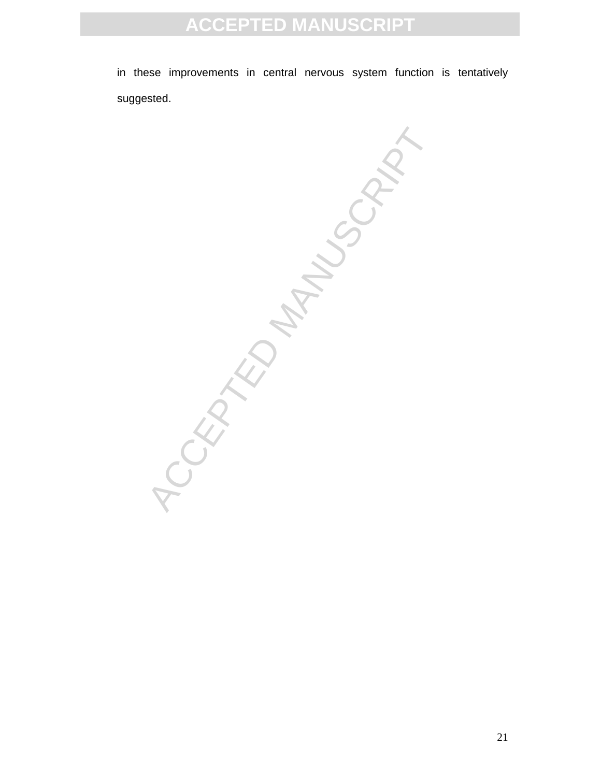in these improvements in central nervous system function is tentatively suggested.

**CCEPTED MANUSCRIPT**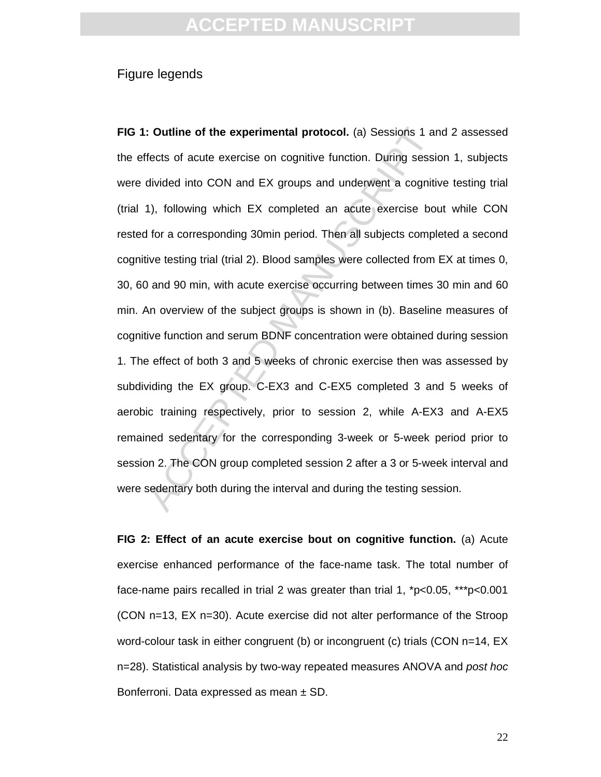### Figure legends

**Example 15 The experimental protocol.** (a) Sessions 1 are fects of acute exercise on cognitive function. During sessidivided into CON and EX groups and underwent a cognitive function, by following which EX completed an ac **FIG 1: Outline of the experimental protocol.** (a) Sessions 1 and 2 assessed the effects of acute exercise on cognitive function. During session 1, subjects were divided into CON and EX groups and underwent a cognitive testing trial (trial 1), following which EX completed an acute exercise bout while CON rested for a corresponding 30min period. Then all subjects completed a second cognitive testing trial (trial 2). Blood samples were collected from EX at times 0, 30, 60 and 90 min, with acute exercise occurring between times 30 min and 60 min. An overview of the subject groups is shown in (b). Baseline measures of cognitive function and serum BDNF concentration were obtained during session 1. The effect of both 3 and 5 weeks of chronic exercise then was assessed by subdividing the EX group. C-EX3 and C-EX5 completed 3 and 5 weeks of aerobic training respectively, prior to session 2, while A-EX3 and A-EX5 remained sedentary for the corresponding 3-week or 5-week period prior to session 2. The CON group completed session 2 after a 3 or 5-week interval and were sedentary both during the interval and during the testing session.

**FIG 2: Effect of an acute exercise bout on cognitive function.** (a) Acute exercise enhanced performance of the face-name task. The total number of face-name pairs recalled in trial 2 was greater than trial 1, \*p<0.05, \*\*\*p<0.001 (CON n=13, EX n=30). Acute exercise did not alter performance of the Stroop word-colour task in either congruent (b) or incongruent (c) trials (CON n=14, EX n=28). Statistical analysis by two-way repeated measures ANOVA and post hoc Bonferroni. Data expressed as mean ± SD.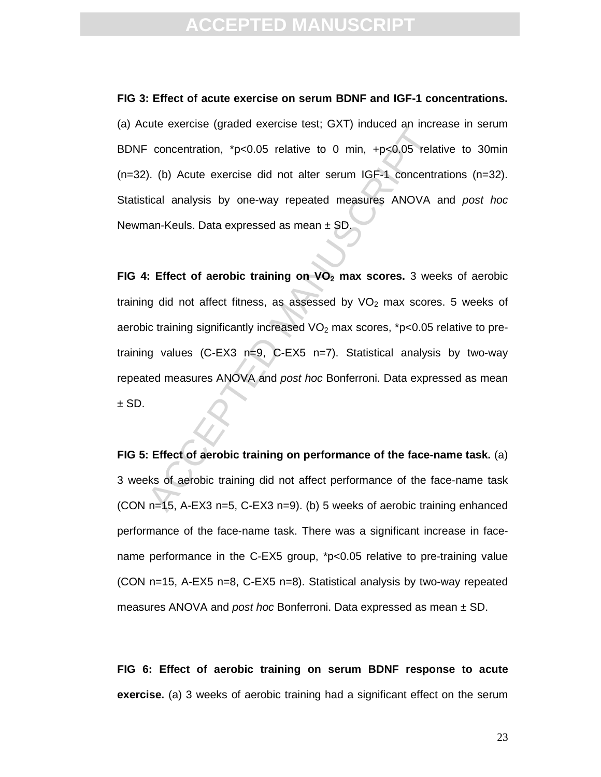# **CCEPTED MANUS**

**FIG 3: Effect of acute exercise on serum BDNF and IGF-1 concentrations.**  (a) Acute exercise (graded exercise test; GXT) induced an increase in serum BDNF concentration, \*p<0.05 relative to 0 min, +p<0.05 relative to 30min (n=32). (b) Acute exercise did not alter serum IGF-1 concentrations (n=32). Statistical analysis by one-way repeated measures ANOVA and post hoc Newman-Keuls. Data expressed as mean ± SD.

Expectitution, \*p<0.05 relative to 0 min, +p<0.05 relative<br>
(b) Acute exercise did not alter serum IGF-1 concentration<br>
(b) Acute exercise did not alter serum IGF-1 concentrational analysis by one-way repeated measures AN **FIG 4: Effect of aerobic training on VO2 max scores.** 3 weeks of aerobic training did not affect fitness, as assessed by  $VO<sub>2</sub>$  max scores. 5 weeks of aerobic training significantly increased  $VO<sub>2</sub>$  max scores, \*p<0.05 relative to pretraining values (C-EX3 n=9, C-EX5 n=7). Statistical analysis by two-way repeated measures ANOVA and post hoc Bonferroni. Data expressed as mean  $±$  SD.

**FIG 5: Effect of aerobic training on performance of the face-name task.** (a) 3 weeks of aerobic training did not affect performance of the face-name task (CON n=15, A-EX3 n=5, C-EX3 n=9). (b) 5 weeks of aerobic training enhanced performance of the face-name task. There was a significant increase in facename performance in the C-EX5 group, \*p<0.05 relative to pre-training value (CON n=15, A-EX5 n=8, C-EX5 n=8). Statistical analysis by two-way repeated measures ANOVA and *post hoc* Bonferroni. Data expressed as mean  $\pm$  SD.

**FIG 6: Effect of aerobic training on serum BDNF response to acute exercise.** (a) 3 weeks of aerobic training had a significant effect on the serum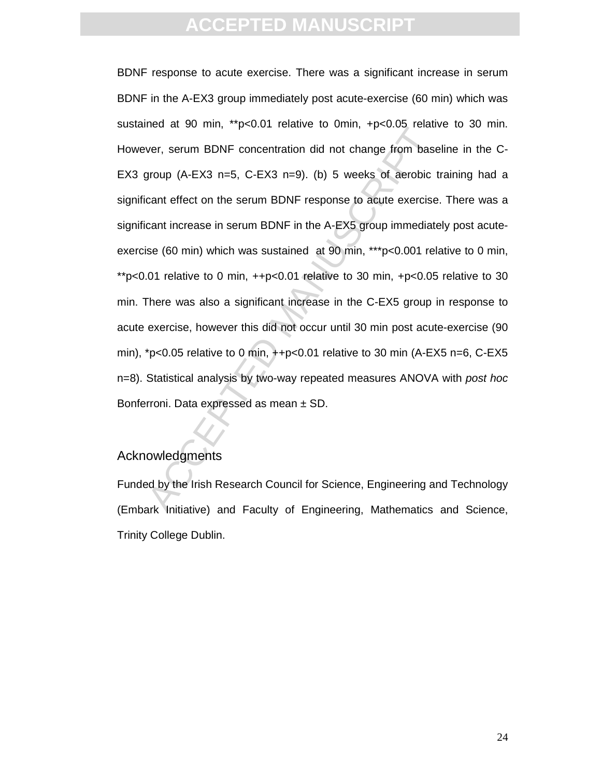Notice at 55 mm, people relative to smilit, rpession relative<br>ter, serum BDNF concentration did not change from base<br>group (A-EX3 n=5, C-EX3 n=9). (b) 5 weeks of aerobic t<br>cant effect on the serum BDNF response to acute e BDNF response to acute exercise. There was a significant increase in serum BDNF in the A-EX3 group immediately post acute-exercise (60 min) which was sustained at 90 min, \*\*p<0.01 relative to 0min, +p<0.05 relative to 30 min. However, serum BDNF concentration did not change from baseline in the C-EX3 group (A-EX3 n=5, C-EX3 n=9). (b) 5 weeks of aerobic training had a significant effect on the serum BDNF response to acute exercise. There was a significant increase in serum BDNF in the A-EX5 group immediately post acuteexercise (60 min) which was sustained at 90 min, \*\*\*p<0.001 relative to 0 min, \*\*p<0.01 relative to 0 min, ++p<0.01 relative to 30 min, +p<0.05 relative to 30 min. There was also a significant increase in the C-EX5 group in response to acute exercise, however this did not occur until 30 min post acute-exercise (90 min), \*p<0.05 relative to 0 min, ++p<0.01 relative to 30 min (A-EX5 n=6, C-EX5 n=8). Statistical analysis by two-way repeated measures ANOVA with post hoc Bonferroni. Data expressed as mean ± SD.

## Acknowledgments

Funded by the Irish Research Council for Science, Engineering and Technology (Embark Initiative) and Faculty of Engineering, Mathematics and Science, Trinity College Dublin.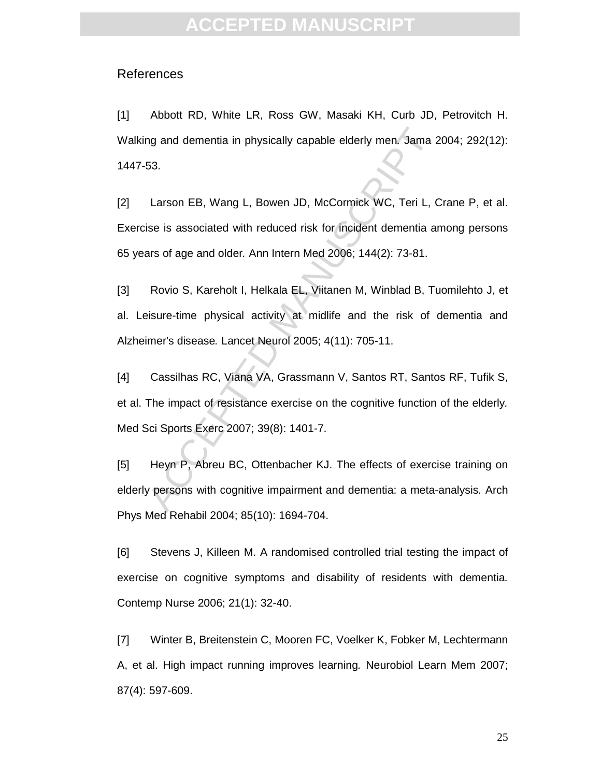### References

[1] Abbott RD, White LR, Ross GW, Masaki KH, Curb JD, Petrovitch H. Walking and dementia in physically capable elderly men. Jama 2004; 292(12): 1447-53.

ng and dementia in physically capable elderly men. Jama 2<br>
53.<br>
Larson EB, Wang L, Bowen JD, McCormick WC, Teri L, C<br>
ise is associated with reduced risk for incident dementia are<br>
ars of age and older. Ann Intern Med 2006 [2] Larson EB, Wang L, Bowen JD, McCormick WC, Teri L, Crane P, et al. Exercise is associated with reduced risk for incident dementia among persons 65 years of age and older. Ann Intern Med 2006; 144(2): 73-81.

[3] Rovio S, Kareholt I, Helkala EL, Viitanen M, Winblad B, Tuomilehto J, et al. Leisure-time physical activity at midlife and the risk of dementia and Alzheimer's disease. Lancet Neurol 2005; 4(11): 705-11.

[4] Cassilhas RC, Viana VA, Grassmann V, Santos RT, Santos RF, Tufik S, et al. The impact of resistance exercise on the cognitive function of the elderly. Med Sci Sports Exerc 2007; 39(8): 1401-7.

[5] Heyn P, Abreu BC, Ottenbacher KJ. The effects of exercise training on elderly persons with cognitive impairment and dementia: a meta-analysis. Arch Phys Med Rehabil 2004; 85(10): 1694-704.

[6] Stevens J, Killeen M. A randomised controlled trial testing the impact of exercise on cognitive symptoms and disability of residents with dementia. Contemp Nurse 2006; 21(1): 32-40.

[7] Winter B, Breitenstein C, Mooren FC, Voelker K, Fobker M, Lechtermann A, et al. High impact running improves learning. Neurobiol Learn Mem 2007; 87(4): 597-609.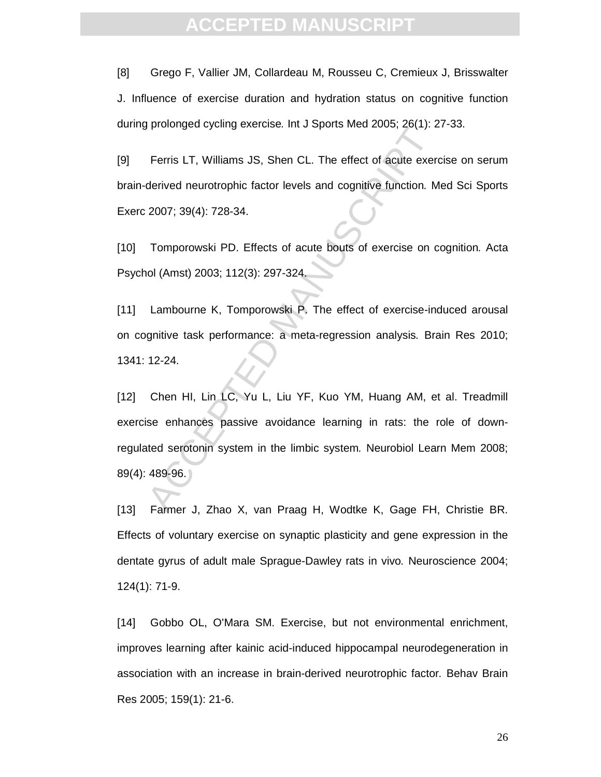[8] Grego F, Vallier JM, Collardeau M, Rousseu C, Cremieux J, Brisswalter J. Influence of exercise duration and hydration status on cognitive function during prolonged cycling exercise. Int J Sports Med 2005; 26(1): 27-33.

[9] Ferris LT, Williams JS, Shen CL. The effect of acute exercise on serum brain-derived neurotrophic factor levels and cognitive function. Med Sci Sports Exerc 2007; 39(4): 728-34.

[10] Tomporowski PD. Effects of acute bouts of exercise on cognition. Acta Psychol (Amst) 2003; 112(3): 297-324.

[11] Lambourne K, Tomporowski P. The effect of exercise-induced arousal on cognitive task performance: a meta-regression analysis. Brain Res 2010; 1341: 12-24.

Ferris LT, Williams JS, Shen CL. The effect of acute exercularized neurotrophic factor levels and cognitive function. M<br>2007; 39(4): 728-34.<br>Tomporowski PD. Effects of acute bouts of exercise on cold (Amst) 2003; 112(3): 2 [12] Chen HI, Lin LC, Yu L, Liu YF, Kuo YM, Huang AM, et al. Treadmill exercise enhances passive avoidance learning in rats: the role of downregulated serotonin system in the limbic system. Neurobiol Learn Mem 2008; 89(4): 489-96.

[13] Farmer J, Zhao X, van Praag H, Wodtke K, Gage FH, Christie BR. Effects of voluntary exercise on synaptic plasticity and gene expression in the dentate gyrus of adult male Sprague-Dawley rats in vivo. Neuroscience 2004; 124(1): 71-9.

[14] Gobbo OL, O'Mara SM. Exercise, but not environmental enrichment, improves learning after kainic acid-induced hippocampal neurodegeneration in association with an increase in brain-derived neurotrophic factor. Behav Brain Res 2005; 159(1): 21-6.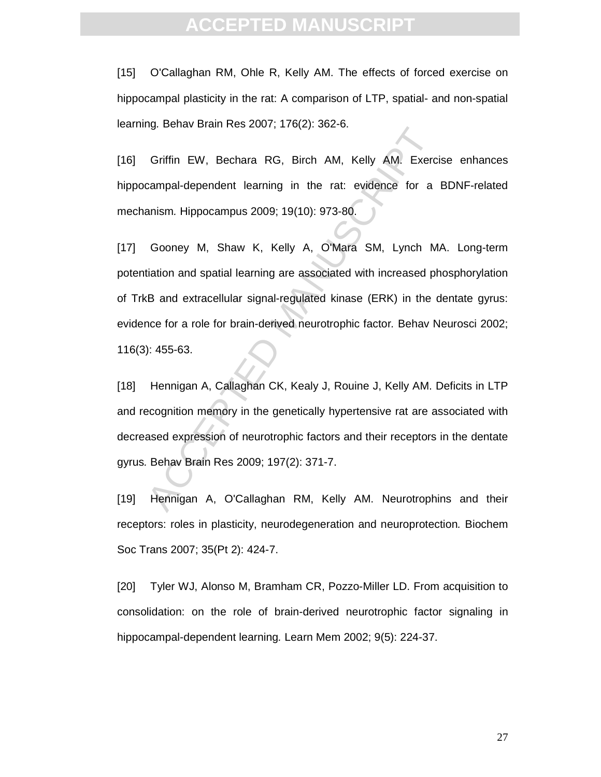[15] O'Callaghan RM, Ohle R, Kelly AM. The effects of forced exercise on hippocampal plasticity in the rat: A comparison of LTP, spatial- and non-spatial learning. Behav Brain Res 2007; 176(2): 362-6.

[16] Griffin EW, Bechara RG, Birch AM, Kelly AM. Exercise enhances hippocampal-dependent learning in the rat: evidence for a BDNF-related mechanism. Hippocampus 2009; 19(10): 973-80.

rg. Bonat Brammes 2007, 170(2): 802 8.<br>
Griffin EW, Bechara RG, Birch AM, Kelly AM. Exercicampal-dependent learning in the rat: evidence for a<br>
anism. Hippocampus 2009; 19(10): 973-80.<br>
Gooney M, Shaw K, Kelly A, O'Mara SM [17] Gooney M, Shaw K, Kelly A, O'Mara SM, Lynch MA. Long-term potentiation and spatial learning are associated with increased phosphorylation of TrkB and extracellular signal-regulated kinase (ERK) in the dentate gyrus: evidence for a role for brain-derived neurotrophic factor. Behav Neurosci 2002; 116(3): 455-63.

[18] Hennigan A, Callaghan CK, Kealy J, Rouine J, Kelly AM. Deficits in LTP and recognition memory in the genetically hypertensive rat are associated with decreased expression of neurotrophic factors and their receptors in the dentate gyrus. Behav Brain Res 2009; 197(2): 371-7.

[19] Hennigan A, O'Callaghan RM, Kelly AM. Neurotrophins and their receptors: roles in plasticity, neurodegeneration and neuroprotection. Biochem Soc Trans 2007; 35(Pt 2): 424-7.

[20] Tyler WJ, Alonso M, Bramham CR, Pozzo-Miller LD. From acquisition to consolidation: on the role of brain-derived neurotrophic factor signaling in hippocampal-dependent learning. Learn Mem 2002; 9(5): 224-37.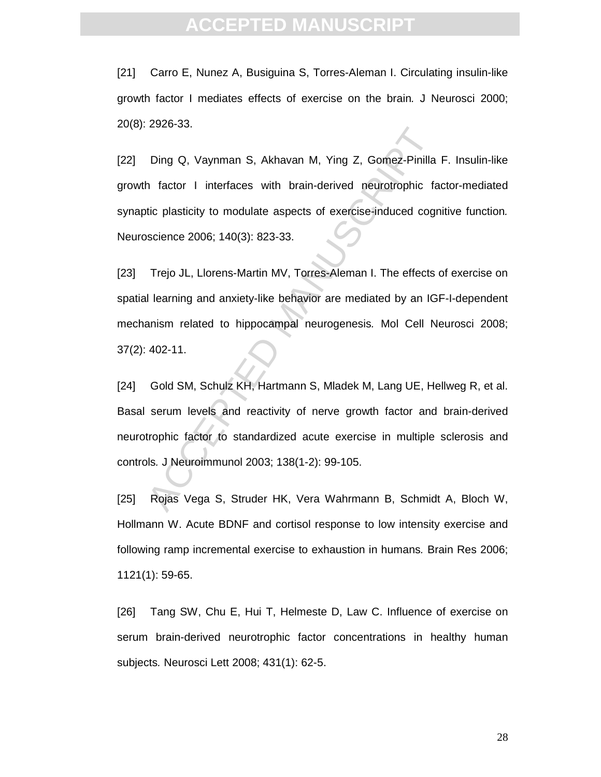[21] Carro E, Nunez A, Busiguina S, Torres-Aleman I. Circulating insulin-like growth factor I mediates effects of exercise on the brain. J Neurosci 2000; 20(8): 2926-33.

Ding Q, Vaynman S, Akhavan M, Ying Z, Gomez-Pinilla<br>
1 factor 1 interfaces with brain-derived neurotrophic factor 1 interfaces with brain-derived neurotrophic factor<br>
1 factor 1 interfaces with brain-derived neurotrophic f [22] Ding Q, Vaynman S, Akhavan M, Ying Z, Gomez-Pinilla F. Insulin-like growth factor I interfaces with brain-derived neurotrophic factor-mediated synaptic plasticity to modulate aspects of exercise-induced cognitive function. Neuroscience 2006; 140(3): 823-33.

[23] Trejo JL, Llorens-Martin MV, Torres-Aleman I. The effects of exercise on spatial learning and anxiety-like behavior are mediated by an IGF-I-dependent mechanism related to hippocampal neurogenesis. Mol Cell Neurosci 2008; 37(2): 402-11.

[24] Gold SM, Schulz KH, Hartmann S, Mladek M, Lang UE, Hellweg R, et al. Basal serum levels and reactivity of nerve growth factor and brain-derived neurotrophic factor to standardized acute exercise in multiple sclerosis and controls. J Neuroimmunol 2003; 138(1-2): 99-105.

[25] Rojas Vega S, Struder HK, Vera Wahrmann B, Schmidt A, Bloch W, Hollmann W. Acute BDNF and cortisol response to low intensity exercise and following ramp incremental exercise to exhaustion in humans. Brain Res 2006; 1121(1): 59-65.

[26] Tang SW, Chu E, Hui T, Helmeste D, Law C. Influence of exercise on serum brain-derived neurotrophic factor concentrations in healthy human subjects. Neurosci Lett 2008; 431(1): 62-5.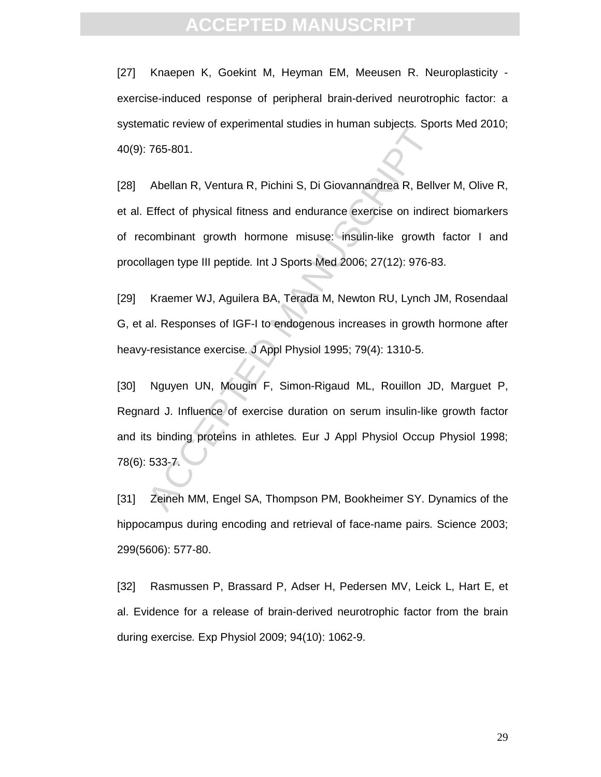# **ACCEPTED MANUS**

[27] Knaepen K, Goekint M, Heyman EM, Meeusen R. Neuroplasticity exercise-induced response of peripheral brain-derived neurotrophic factor: a systematic review of experimental studies in human subjects. Sports Med 2010; 40(9): 765-801.

The Forch of experimental statios in number stations. Species 166-801.<br>
Abellan R, Ventura R, Pichini S, Di Giovannandrea R, Bellv<br>
Effect of physical fitness and endurance exercise on indirecombinant growth hormone misuse [28] Abellan R, Ventura R, Pichini S, Di Giovannandrea R, Bellver M, Olive R, et al. Effect of physical fitness and endurance exercise on indirect biomarkers of recombinant growth hormone misuse: insulin-like growth factor I and procollagen type III peptide. Int J Sports Med 2006; 27(12): 976-83.

[29] Kraemer WJ, Aguilera BA, Terada M, Newton RU, Lynch JM, Rosendaal G, et al. Responses of IGF-I to endogenous increases in growth hormone after heavy-resistance exercise. J Appl Physiol 1995; 79(4): 1310-5.

[30] Nguyen UN, Mougin F, Simon-Rigaud ML, Rouillon JD, Marguet P, Regnard J. Influence of exercise duration on serum insulin-like growth factor and its binding proteins in athletes. Eur J Appl Physiol Occup Physiol 1998; 78(6): 533-7.

[31] Zeineh MM, Engel SA, Thompson PM, Bookheimer SY. Dynamics of the hippocampus during encoding and retrieval of face-name pairs. Science 2003; 299(5606): 577-80.

[32] Rasmussen P, Brassard P, Adser H, Pedersen MV, Leick L, Hart E, et al. Evidence for a release of brain-derived neurotrophic factor from the brain during exercise. Exp Physiol 2009; 94(10): 1062-9.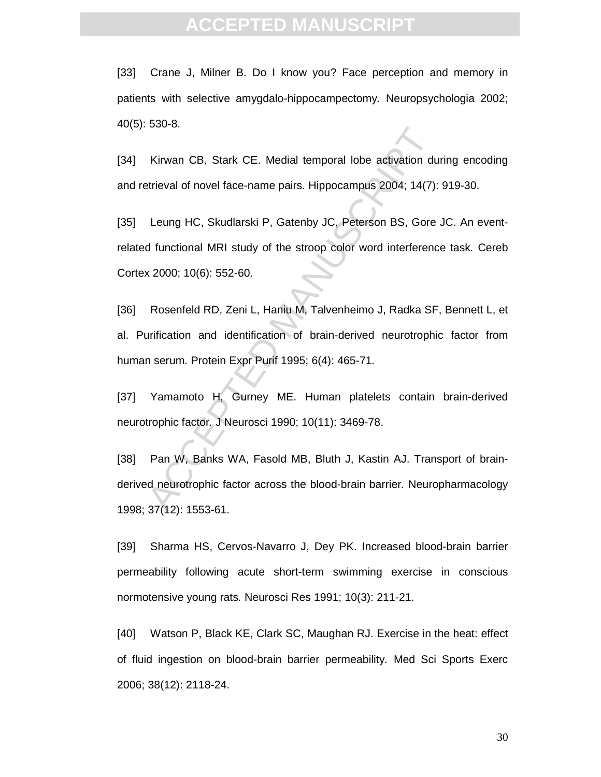[33] Crane J, Milner B. Do I know you? Face perception and memory in patients with selective amygdalo-hippocampectomy. Neuropsychologia 2002; 40(5): 530-8.

[34] Kirwan CB, Stark CE. Medial temporal lobe activation during encoding and retrieval of novel face-name pairs. Hippocampus 2004; 14(7): 919-30.

Kirwan CB, Stark CE. Medial temporal lobe activation du<br>trieval of novel face-name pairs. Hippocampus 2004; 14(7):<br>Leung HC, Skudlarski P, Gatenby JC, Peterson BS, Gore<br>d functional MRI study of the stroop color word inter [35] Leung HC, Skudlarski P, Gatenby JC, Peterson BS, Gore JC. An eventrelated functional MRI study of the stroop color word interference task. Cereb Cortex 2000; 10(6): 552-60.

[36] Rosenfeld RD, Zeni L, Haniu M, Talvenheimo J, Radka SF, Bennett L, et al. Purification and identification of brain-derived neurotrophic factor from human serum. Protein Expr Purif 1995; 6(4): 465-71.

[37] Yamamoto H, Gurney ME. Human platelets contain brain-derived neurotrophic factor. J Neurosci 1990; 10(11): 3469-78.

[38] Pan W, Banks WA, Fasold MB, Bluth J, Kastin AJ. Transport of brainderived neurotrophic factor across the blood-brain barrier. Neuropharmacology 1998; 37(12): 1553-61.

[39] Sharma HS, Cervos-Navarro J, Dey PK. Increased blood-brain barrier permeability following acute short-term swimming exercise in conscious normotensive young rats. Neurosci Res 1991; 10(3): 211-21.

[40] Watson P, Black KE, Clark SC, Maughan RJ. Exercise in the heat: effect of fluid ingestion on blood-brain barrier permeability. Med Sci Sports Exerc 2006; 38(12): 2118-24.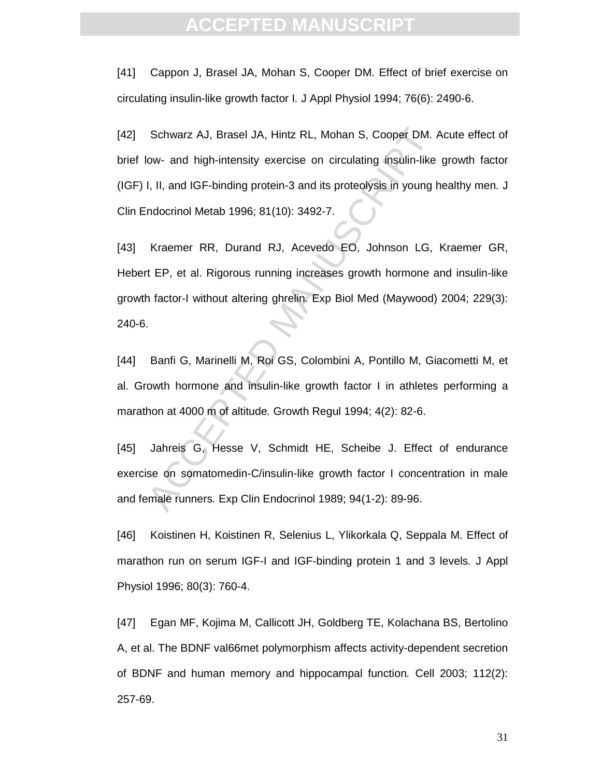[41] Cappon J, Brasel JA, Mohan S, Cooper DM. Effect of brief exercise on circulating insulin-like growth factor I. J Appl Physiol 1994; 76(6): 2490-6.

Schwarz AJ, Brasel JA, Hintz RL, Mohan S, Cooper DM. *i*<br>
low- and high-intensity exercise on circulating insulin-like<br>
1, II, and IGF-binding protein-3 and its proteolysis in young h<br>
ndocrinol Metab 1996; 81(10): 3492-7. [42] Schwarz AJ, Brasel JA, Hintz RL, Mohan S, Cooper DM. Acute effect of brief low- and high-intensity exercise on circulating insulin-like growth factor (IGF) I, II, and IGF-binding protein-3 and its proteolysis in young healthy men. J Clin Endocrinol Metab 1996; 81(10): 3492-7.

[43] Kraemer RR, Durand RJ, Acevedo EO, Johnson LG, Kraemer GR, Hebert EP, et al. Rigorous running increases growth hormone and insulin-like growth factor-I without altering ghrelin. Exp Biol Med (Maywood) 2004; 229(3): 240-6.

[44] Banfi G, Marinelli M, Roi GS, Colombini A, Pontillo M, Giacometti M, et al. Growth hormone and insulin-like growth factor I in athletes performing a marathon at 4000 m of altitude. Growth Regul 1994; 4(2): 82-6.

[45] Jahreis G, Hesse V, Schmidt HE, Scheibe J. Effect of endurance exercise on somatomedin-C/insulin-like growth factor I concentration in male and female runners. Exp Clin Endocrinol 1989; 94(1-2): 89-96.

[46] Koistinen H, Koistinen R, Selenius L, Ylikorkala Q, Seppala M. Effect of marathon run on serum IGF-I and IGF-binding protein 1 and 3 levels. J Appl Physiol 1996; 80(3): 760-4.

[47] Egan MF, Kojima M, Callicott JH, Goldberg TE, Kolachana BS, Bertolino A, et al. The BDNF val66met polymorphism affects activity-dependent secretion of BDNF and human memory and hippocampal function. Cell 2003; 112(2): 257-69.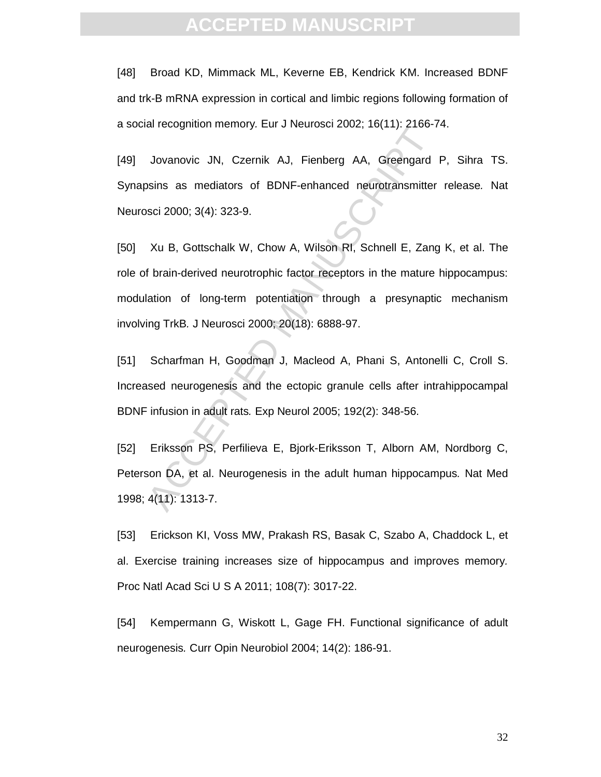[48] Broad KD, Mimmack ML, Keverne EB, Kendrick KM. Increased BDNF and trk-B mRNA expression in cortical and limbic regions following formation of a social recognition memory. Eur J Neurosci 2002; 16(11): 2166-74.

[49] Jovanovic JN, Czernik AJ, Fienberg AA, Greengard P, Sihra TS. Synapsins as mediators of BDNF-enhanced neurotransmitter release. Nat Neurosci 2000; 3(4): 323-9.

directly. Let b Nethesd Letter, 16(11): 2166 7<br>Jovanovic JN, Czernik AJ, Fienberg AA, Greengard<br>ssins as mediators of BDNF-enhanced neurotransmitter<br>sci 2000; 3(4): 323-9.<br>Xu B, Gottschalk W, Chow A, Wilson RI, Schnell E, [50] Xu B, Gottschalk W, Chow A, Wilson RI, Schnell E, Zang K, et al. The role of brain-derived neurotrophic factor receptors in the mature hippocampus: modulation of long-term potentiation through a presynaptic mechanism involving TrkB. J Neurosci 2000; 20(18): 6888-97.

[51] Scharfman H, Goodman J, Macleod A, Phani S, Antonelli C, Croll S. Increased neurogenesis and the ectopic granule cells after intrahippocampal BDNF infusion in adult rats. Exp Neurol 2005; 192(2): 348-56.

[52] Eriksson PS, Perfilieva E, Bjork-Eriksson T, Alborn AM, Nordborg C, Peterson DA, et al. Neurogenesis in the adult human hippocampus. Nat Med 1998; 4(11): 1313-7.

[53] Erickson KI, Voss MW, Prakash RS, Basak C, Szabo A, Chaddock L, et al. Exercise training increases size of hippocampus and improves memory. Proc Natl Acad Sci U S A 2011; 108(7): 3017-22.

[54] Kempermann G, Wiskott L, Gage FH. Functional significance of adult neurogenesis. Curr Opin Neurobiol 2004; 14(2): 186-91.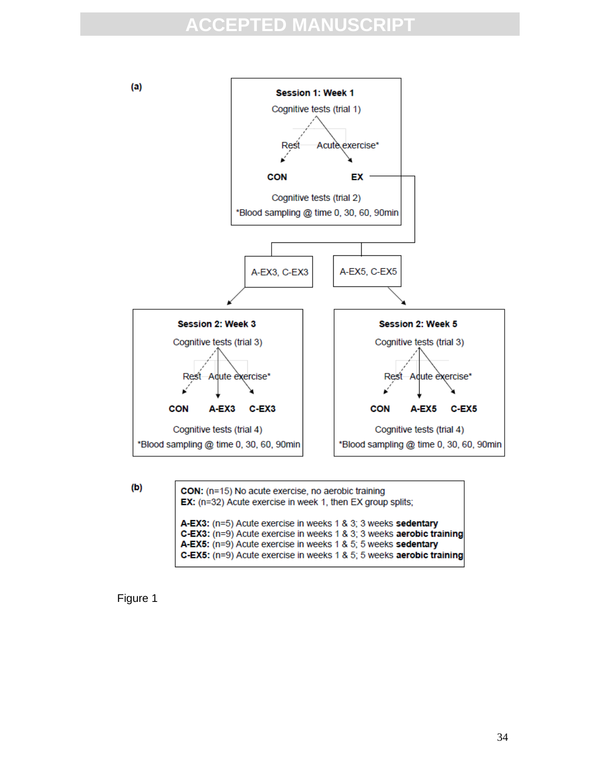

 $(b)$ 

A-EX3: (n=5) Acute exercise in weeks 1 & 3; 3 weeks sedentary C-EX3: (n=9) Acute exercise in weeks 1 & 3; 3 weeks aerobic training



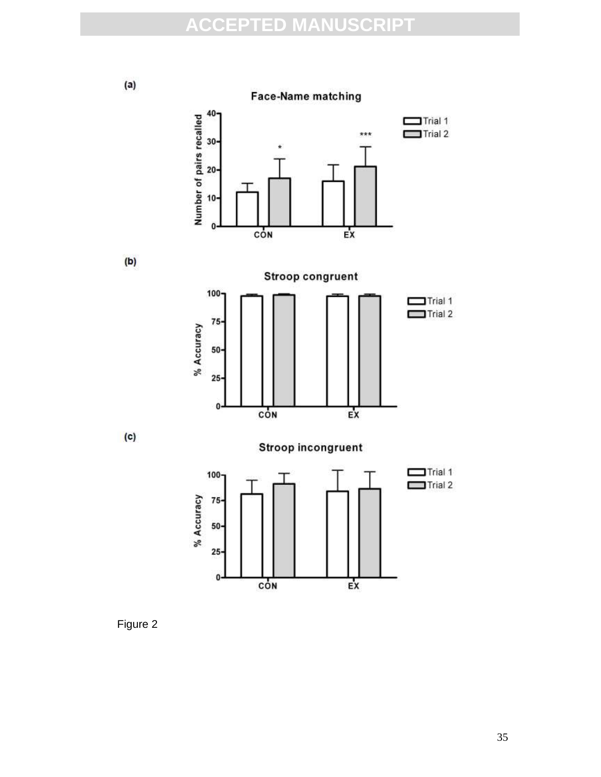$(a)$ 

 $(b)$ 

 $(c)$ 

**Face-Name matching** 



 $Ex$ 



O

CON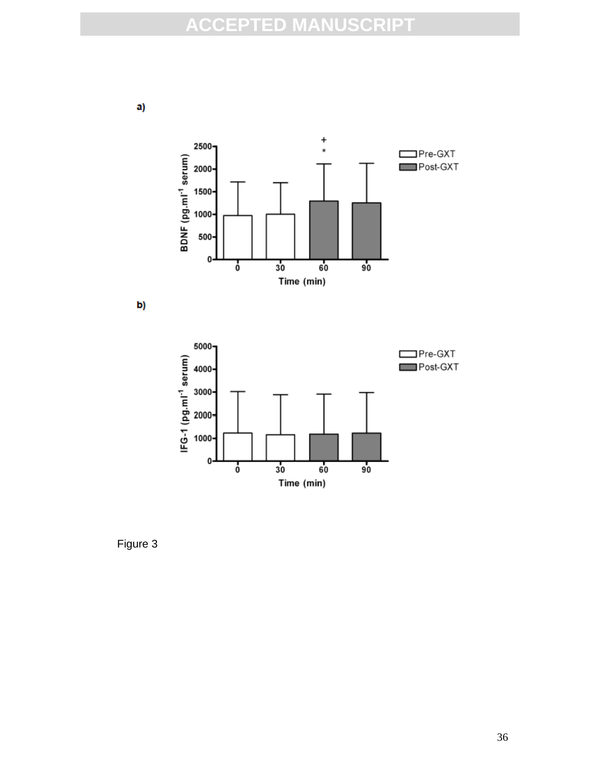





Figure 3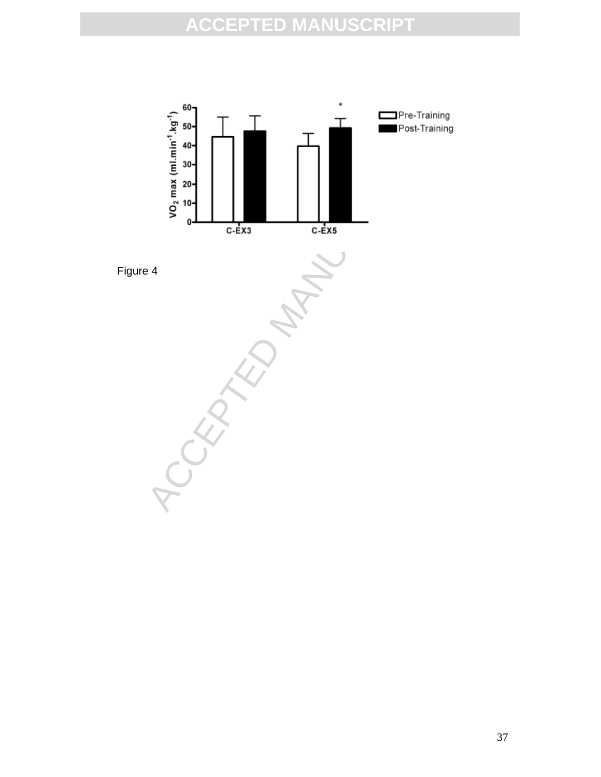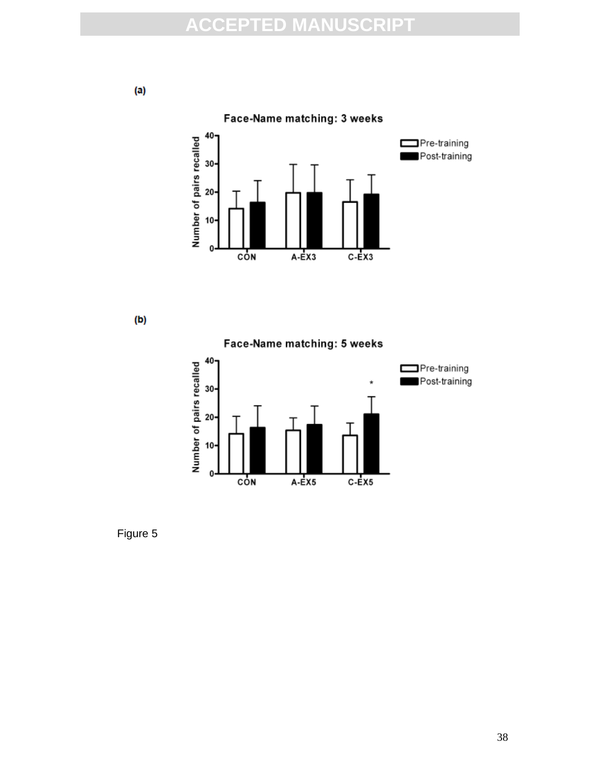





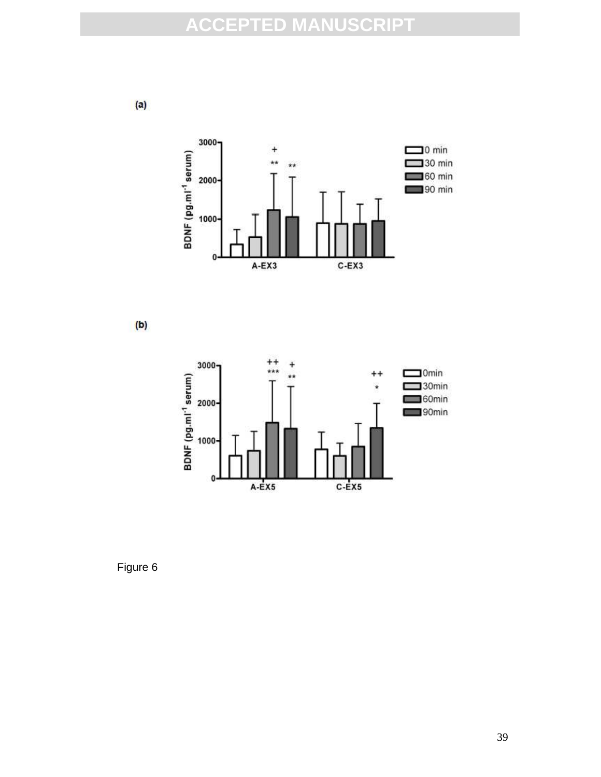$(a)$ 





Figure 6